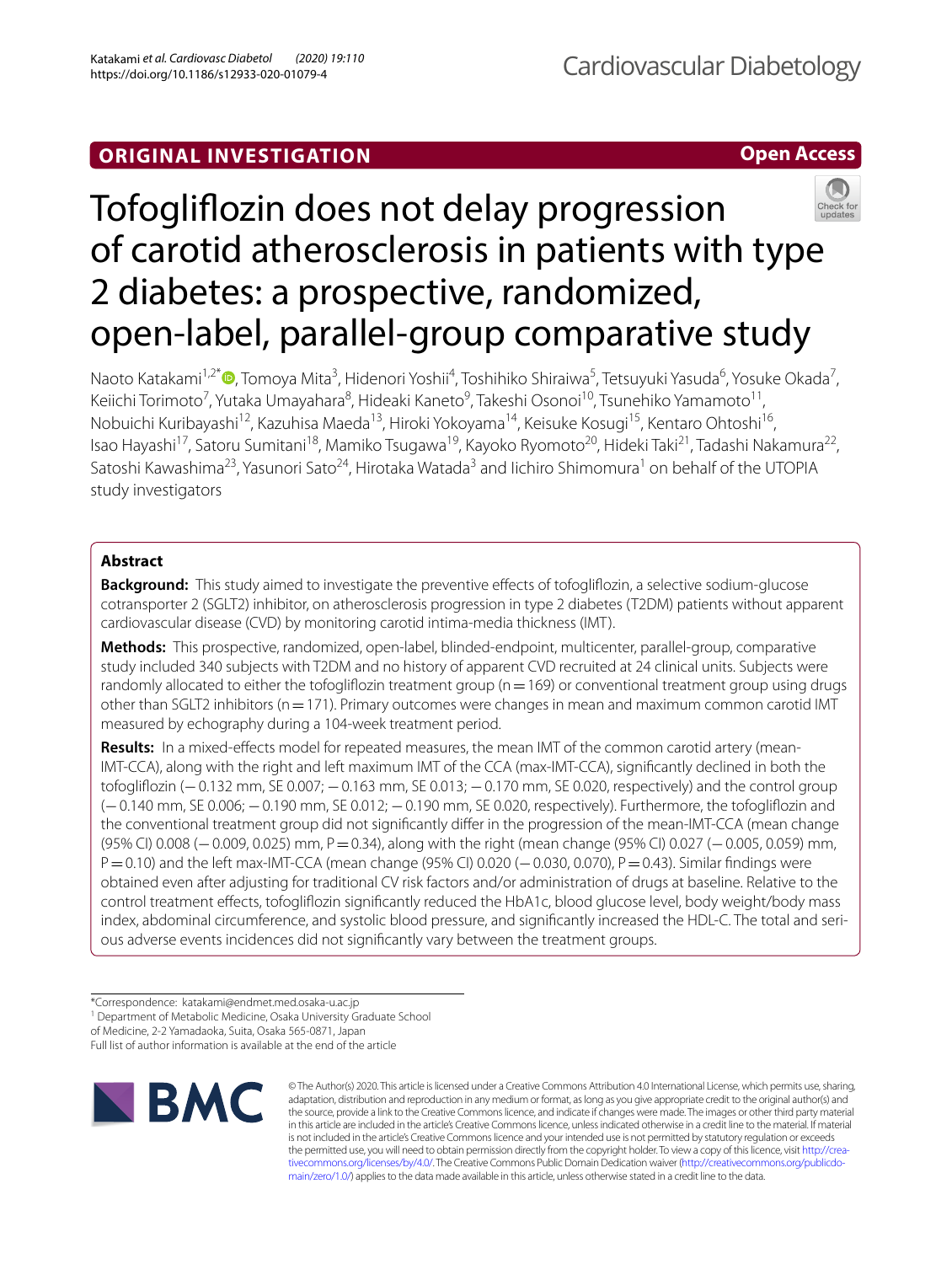## **ORIGINAL INVESTIGATION**

**Open Access**

# Tofoglifozin does not delay progression of carotid atherosclerosis in patients with type 2 diabetes: a prospective, randomized, open-label, parallel-group comparative study

Naoto Katakami<sup>1[,](http://orcid.org/0000-0001-9020-8320)2\*</sup> (**D**, Tomoya Mita<sup>3</sup>, Hidenori Yoshii<sup>4</sup>, Toshihiko Shiraiwa<sup>5</sup>, Tetsuyuki Yasuda<sup>6</sup>, Yosuke Okada<sup>7</sup>, Keiichi Torimoto<sup>7</sup>, Yutaka Umayahara<sup>8</sup>, Hideaki Kaneto<sup>9</sup>, Takeshi Osonoi<sup>10</sup>, Tsunehiko Yamamoto<sup>11</sup>, Nobuichi Kuribayashi<sup>12</sup>, Kazuhisa Maeda<sup>13</sup>, Hiroki Yokoyama<sup>14</sup>, Keisuke Kosugi<sup>15</sup>, Kentaro Ohtoshi<sup>16</sup>, Isao Hayashi<sup>17</sup>, Satoru Sumitani<sup>18</sup>, Mamiko Tsugawa<sup>19</sup>, Kayoko Ryomoto<sup>20</sup>, Hideki Taki<sup>21</sup>, Tadashi Nakamura<sup>22</sup>, Satoshi Kawashima<sup>23</sup>, Yasunori Sato<sup>24</sup>, Hirotaka Watada<sup>3</sup> and lichiro Shimomura<sup>1</sup> on behalf of the UTOPIA study investigators

## **Abstract**

**Background:** This study aimed to investigate the preventive effects of tofogliflozin, a selective sodium-glucose cotransporter 2 (SGLT2) inhibitor, on atherosclerosis progression in type 2 diabetes (T2DM) patients without apparent cardiovascular disease (CVD) by monitoring carotid intima-media thickness (IMT).

**Methods:** This prospective, randomized, open-label, blinded-endpoint, multicenter, parallel-group, comparative study included 340 subjects with T2DM and no history of apparent CVD recruited at 24 clinical units. Subjects were randomly allocated to either the tofogliflozin treatment group ( $n=169$ ) or conventional treatment group using drugs other than SGLT2 inhibitors (n=171). Primary outcomes were changes in mean and maximum common carotid IMT measured by echography during a 104-week treatment period.

Results: In a mixed-effects model for repeated measures, the mean IMT of the common carotid artery (mean-IMT-CCA), along with the right and left maximum IMT of the CCA (max-IMT-CCA), signifcantly declined in both the tofoglifozin (−0.132 mm, SE 0.007; −0.163 mm, SE 0.013; −0.170 mm, SE 0.020, respectively) and the control group (−0.140 mm, SE 0.006; −0.190 mm, SE 0.012; −0.190 mm, SE 0.020, respectively). Furthermore, the tofoglifozin and the conventional treatment group did not signifcantly difer in the progression of the mean-IMT-CCA (mean change (95% CI) 0.008 (−0.009, 0.025) mm, P=0.34), along with the right (mean change (95% CI) 0.027 (−0.005, 0.059) mm, P=0.10) and the left max-IMT-CCA (mean change (95% CI) 0.020 (−0.030, 0.070), P=0.43). Similar findings were obtained even after adjusting for traditional CV risk factors and/or administration of drugs at baseline. Relative to the control treatment efects, tofoglifozin signifcantly reduced the HbA1c, blood glucose level, body weight/body mass index, abdominal circumference, and systolic blood pressure, and signifcantly increased the HDL-C. The total and serious adverse events incidences did not signifcantly vary between the treatment groups.

\*Correspondence: katakami@endmet.med.osaka-u.ac.jp

<sup>1</sup> Department of Metabolic Medicine, Osaka University Graduate School

of Medicine, 2-2 Yamadaoka, Suita, Osaka 565-0871, Japan

Full list of author information is available at the end of the article



© The Author(s) 2020. This article is licensed under a Creative Commons Attribution 4.0 International License, which permits use, sharing, adaptation, distribution and reproduction in any medium or format, as long as you give appropriate credit to the original author(s) and the source, provide a link to the Creative Commons licence, and indicate if changes were made. The images or other third party material in this article are included in the article's Creative Commons licence, unless indicated otherwise in a credit line to the material. If material is not included in the article's Creative Commons licence and your intended use is not permitted by statutory regulation or exceeds the permitted use, you will need to obtain permission directly from the copyright holder. To view a copy of this licence, visit [http://crea](http://creativecommons.org/licenses/by/4.0/)[tivecommons.org/licenses/by/4.0/.](http://creativecommons.org/licenses/by/4.0/) The Creative Commons Public Domain Dedication waiver ([http://creativecommons.org/publicdo](http://creativecommons.org/publicdomain/zero/1.0/)[main/zero/1.0/\)](http://creativecommons.org/publicdomain/zero/1.0/) applies to the data made available in this article, unless otherwise stated in a credit line to the data.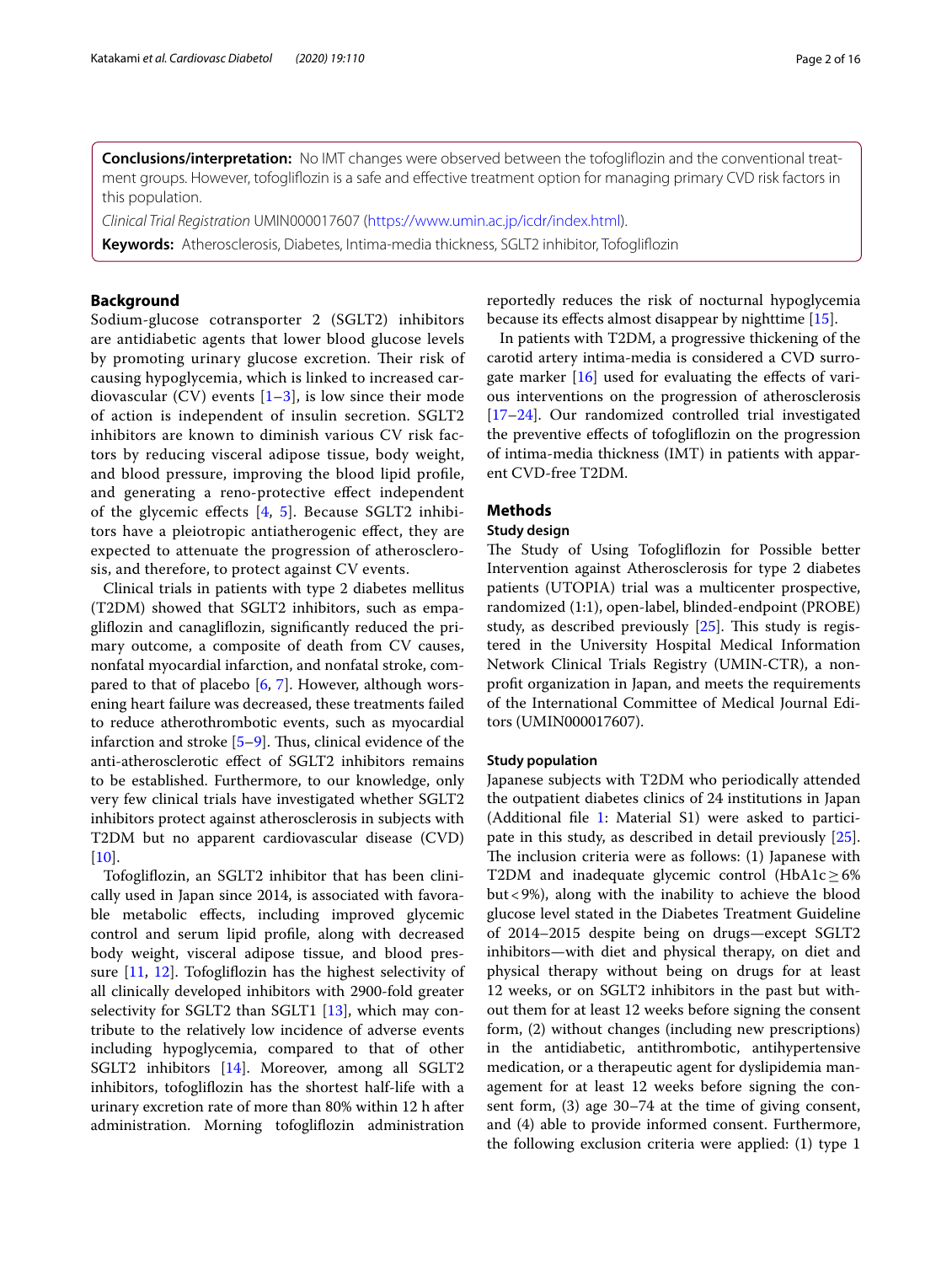**Conclusions/interpretation:** No IMT changes were observed between the tofoglifozin and the conventional treatment groups. However, tofoglifozin is a safe and efective treatment option for managing primary CVD risk factors in this population.

*Clinical Trial Registration* UMIN000017607 [\(https://www.umin.ac.jp/icdr/index.html](https://www.umin.ac.jp/icdr/index.html)).

**Keywords:** Atherosclerosis, Diabetes, Intima-media thickness, SGLT2 inhibitor, Tofoglifozin

## **Background**

Sodium-glucose cotransporter 2 (SGLT2) inhibitors are antidiabetic agents that lower blood glucose levels by promoting urinary glucose excretion. Their risk of causing hypoglycemia, which is linked to increased cardiovascular (CV) events  $[1-3]$  $[1-3]$  $[1-3]$  $[1-3]$  $[1-3]$ , is low since their mode of action is independent of insulin secretion. SGLT2 inhibitors are known to diminish various CV risk factors by reducing visceral adipose tissue, body weight, and blood pressure, improving the blood lipid profle, and generating a reno-protective efect independent of the glycemic efects [\[4](#page-13-2), [5](#page-13-3)]. Because SGLT2 inhibitors have a pleiotropic antiatherogenic efect, they are expected to attenuate the progression of atherosclerosis, and therefore, to protect against CV events.

Clinical trials in patients with type 2 diabetes mellitus (T2DM) showed that SGLT2 inhibitors, such as empaglifozin and canaglifozin, signifcantly reduced the primary outcome, a composite of death from CV causes, nonfatal myocardial infarction, and nonfatal stroke, compared to that of placebo [[6,](#page-13-4) [7\]](#page-13-5). However, although worsening heart failure was decreased, these treatments failed to reduce atherothrombotic events, such as myocardial infarction and stroke  $[5-9]$  $[5-9]$ . Thus, clinical evidence of the anti-atherosclerotic efect of SGLT2 inhibitors remains to be established. Furthermore, to our knowledge, only very few clinical trials have investigated whether SGLT2 inhibitors protect against atherosclerosis in subjects with T2DM but no apparent cardiovascular disease (CVD)  $[10]$  $[10]$ .

Tofoglifozin, an SGLT2 inhibitor that has been clinically used in Japan since 2014, is associated with favorable metabolic efects, including improved glycemic control and serum lipid profle, along with decreased body weight, visceral adipose tissue, and blood pressure [[11,](#page-13-8) [12](#page-13-9)]. Tofoglifozin has the highest selectivity of all clinically developed inhibitors with 2900-fold greater selectivity for SGLT2 than SGLT1 [[13\]](#page-13-10), which may contribute to the relatively low incidence of adverse events including hypoglycemia, compared to that of other SGLT2 inhibitors [\[14](#page-14-0)]. Moreover, among all SGLT2 inhibitors, tofoglifozin has the shortest half-life with a urinary excretion rate of more than 80% within 12 h after administration. Morning tofoglifozin administration reportedly reduces the risk of nocturnal hypoglycemia because its efects almost disappear by nighttime [\[15](#page-14-1)].

In patients with T2DM, a progressive thickening of the carotid artery intima-media is considered a CVD surrogate marker  $[16]$  $[16]$  used for evaluating the effects of various interventions on the progression of atherosclerosis [[17–](#page-14-3)[24\]](#page-14-4). Our randomized controlled trial investigated the preventive efects of tofoglifozin on the progression of intima-media thickness (IMT) in patients with apparent CVD-free T2DM.

## **Methods**

## **Study design**

The Study of Using Tofogliflozin for Possible better Intervention against Atherosclerosis for type 2 diabetes patients (UTOPIA) trial was a multicenter prospective, randomized (1:1), open-label, blinded-endpoint (PROBE) study, as described previously  $[25]$ . This study is registered in the University Hospital Medical Information Network Clinical Trials Registry (UMIN-CTR), a nonproft organization in Japan, and meets the requirements of the International Committee of Medical Journal Editors (UMIN000017607).

#### **Study population**

Japanese subjects with T2DM who periodically attended the outpatient diabetes clinics of 24 institutions in Japan (Additional fle [1](#page-12-0): Material S1) were asked to participate in this study, as described in detail previously [\[25](#page-14-5)]. The inclusion criteria were as follows:  $(1)$  Japanese with T2DM and inadequate glycemic control (HbA1c≥6% but<9%), along with the inability to achieve the blood glucose level stated in the Diabetes Treatment Guideline of 2014–2015 despite being on drugs—except SGLT2 inhibitors—with diet and physical therapy, on diet and physical therapy without being on drugs for at least 12 weeks, or on SGLT2 inhibitors in the past but without them for at least 12 weeks before signing the consent form, (2) without changes (including new prescriptions) in the antidiabetic, antithrombotic, antihypertensive medication, or a therapeutic agent for dyslipidemia management for at least 12 weeks before signing the consent form, (3) age 30–74 at the time of giving consent, and (4) able to provide informed consent. Furthermore, the following exclusion criteria were applied: (1) type 1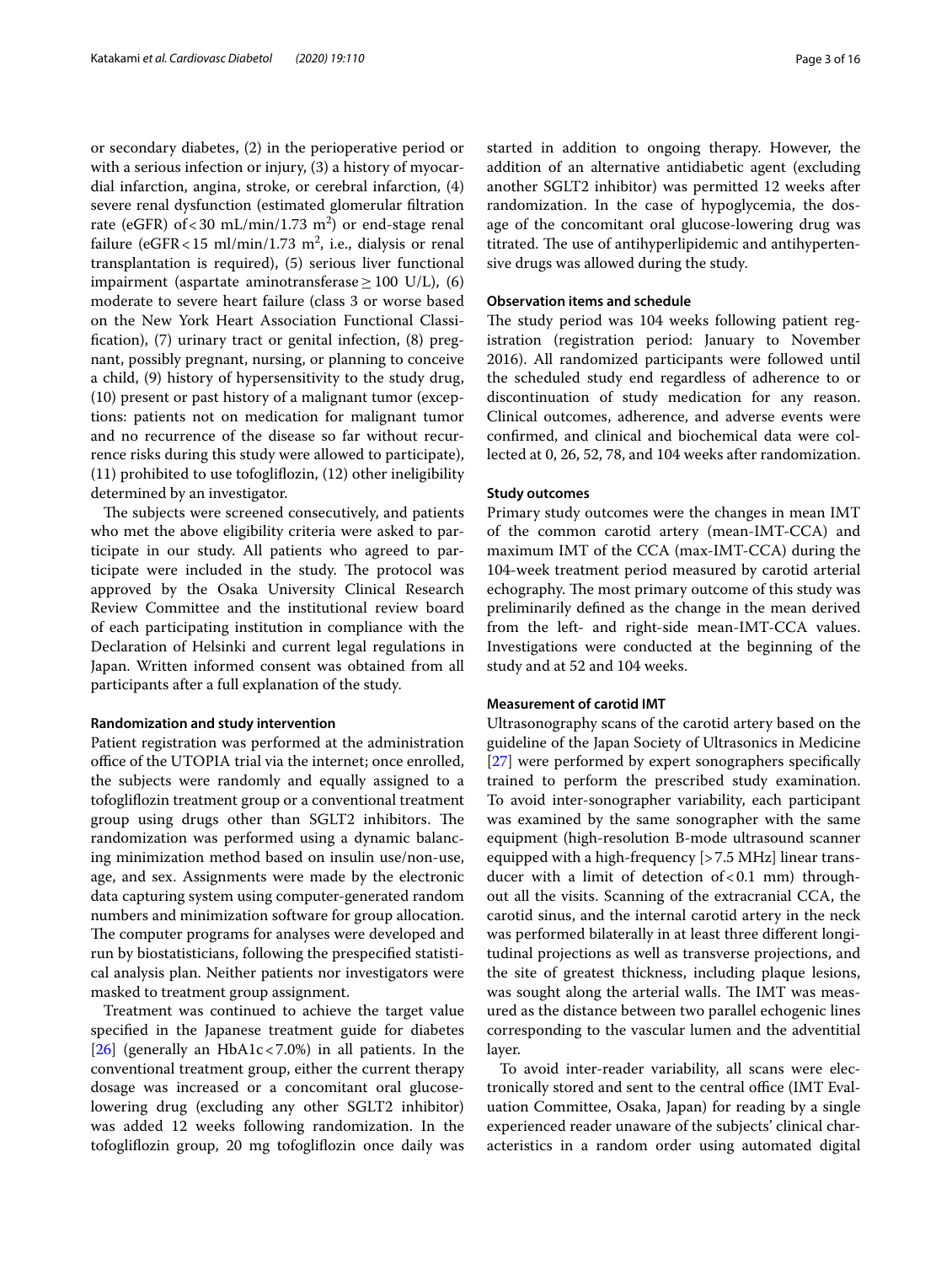or secondary diabetes, (2) in the perioperative period or with a serious infection or injury, (3) a history of myocardial infarction, angina, stroke, or cerebral infarction, (4) severe renal dysfunction (estimated glomerular fltration rate (eGFR) of < 30 mL/min/1.73  $m<sup>2</sup>$ ) or end-stage renal failure (eGFR < 15 ml/min/1.73 m<sup>2</sup>, i.e., dialysis or renal transplantation is required), (5) serious liver functional impairment (aspartate aminotransferase  $\geq 100$  U/L), (6) moderate to severe heart failure (class 3 or worse based on the New York Heart Association Functional Classifcation), (7) urinary tract or genital infection, (8) pregnant, possibly pregnant, nursing, or planning to conceive a child, (9) history of hypersensitivity to the study drug, (10) present or past history of a malignant tumor (exceptions: patients not on medication for malignant tumor and no recurrence of the disease so far without recurrence risks during this study were allowed to participate), (11) prohibited to use tofoglifozin, (12) other ineligibility determined by an investigator.

The subjects were screened consecutively, and patients who met the above eligibility criteria were asked to participate in our study. All patients who agreed to participate were included in the study. The protocol was approved by the Osaka University Clinical Research Review Committee and the institutional review board of each participating institution in compliance with the Declaration of Helsinki and current legal regulations in Japan. Written informed consent was obtained from all participants after a full explanation of the study.

#### **Randomization and study intervention**

Patient registration was performed at the administration office of the UTOPIA trial via the internet; once enrolled, the subjects were randomly and equally assigned to a tofoglifozin treatment group or a conventional treatment group using drugs other than SGLT2 inhibitors. The randomization was performed using a dynamic balancing minimization method based on insulin use/non-use, age, and sex. Assignments were made by the electronic data capturing system using computer-generated random numbers and minimization software for group allocation. The computer programs for analyses were developed and run by biostatisticians, following the prespecifed statistical analysis plan. Neither patients nor investigators were masked to treatment group assignment.

Treatment was continued to achieve the target value specifed in the Japanese treatment guide for diabetes [[26\]](#page-14-6) (generally an HbA1c<7.0%) in all patients. In the conventional treatment group, either the current therapy dosage was increased or a concomitant oral glucoselowering drug (excluding any other SGLT2 inhibitor) was added 12 weeks following randomization. In the tofoglifozin group, 20 mg tofoglifozin once daily was started in addition to ongoing therapy. However, the addition of an alternative antidiabetic agent (excluding another SGLT2 inhibitor) was permitted 12 weeks after randomization. In the case of hypoglycemia, the dosage of the concomitant oral glucose-lowering drug was titrated. The use of antihyperlipidemic and antihypertensive drugs was allowed during the study.

#### **Observation items and schedule**

The study period was 104 weeks following patient registration (registration period: January to November 2016). All randomized participants were followed until the scheduled study end regardless of adherence to or discontinuation of study medication for any reason. Clinical outcomes, adherence, and adverse events were confrmed, and clinical and biochemical data were collected at 0, 26, 52, 78, and 104 weeks after randomization.

#### **Study outcomes**

Primary study outcomes were the changes in mean IMT of the common carotid artery (mean-IMT-CCA) and maximum IMT of the CCA (max-IMT-CCA) during the 104-week treatment period measured by carotid arterial echography. The most primary outcome of this study was preliminarily defned as the change in the mean derived from the left- and right-side mean-IMT-CCA values. Investigations were conducted at the beginning of the study and at 52 and 104 weeks.

## **Measurement of carotid IMT**

Ultrasonography scans of the carotid artery based on the guideline of the Japan Society of Ultrasonics in Medicine [[27\]](#page-14-7) were performed by expert sonographers specifcally trained to perform the prescribed study examination. To avoid inter-sonographer variability, each participant was examined by the same sonographer with the same equipment (high-resolution B-mode ultrasound scanner equipped with a high-frequency [>7.5 MHz] linear transducer with a limit of detection of  $< 0.1$  mm) throughout all the visits. Scanning of the extracranial CCA, the carotid sinus, and the internal carotid artery in the neck was performed bilaterally in at least three diferent longitudinal projections as well as transverse projections, and the site of greatest thickness, including plaque lesions, was sought along the arterial walls. The IMT was measured as the distance between two parallel echogenic lines corresponding to the vascular lumen and the adventitial layer.

To avoid inter-reader variability, all scans were electronically stored and sent to the central office (IMT Evaluation Committee, Osaka, Japan) for reading by a single experienced reader unaware of the subjects' clinical characteristics in a random order using automated digital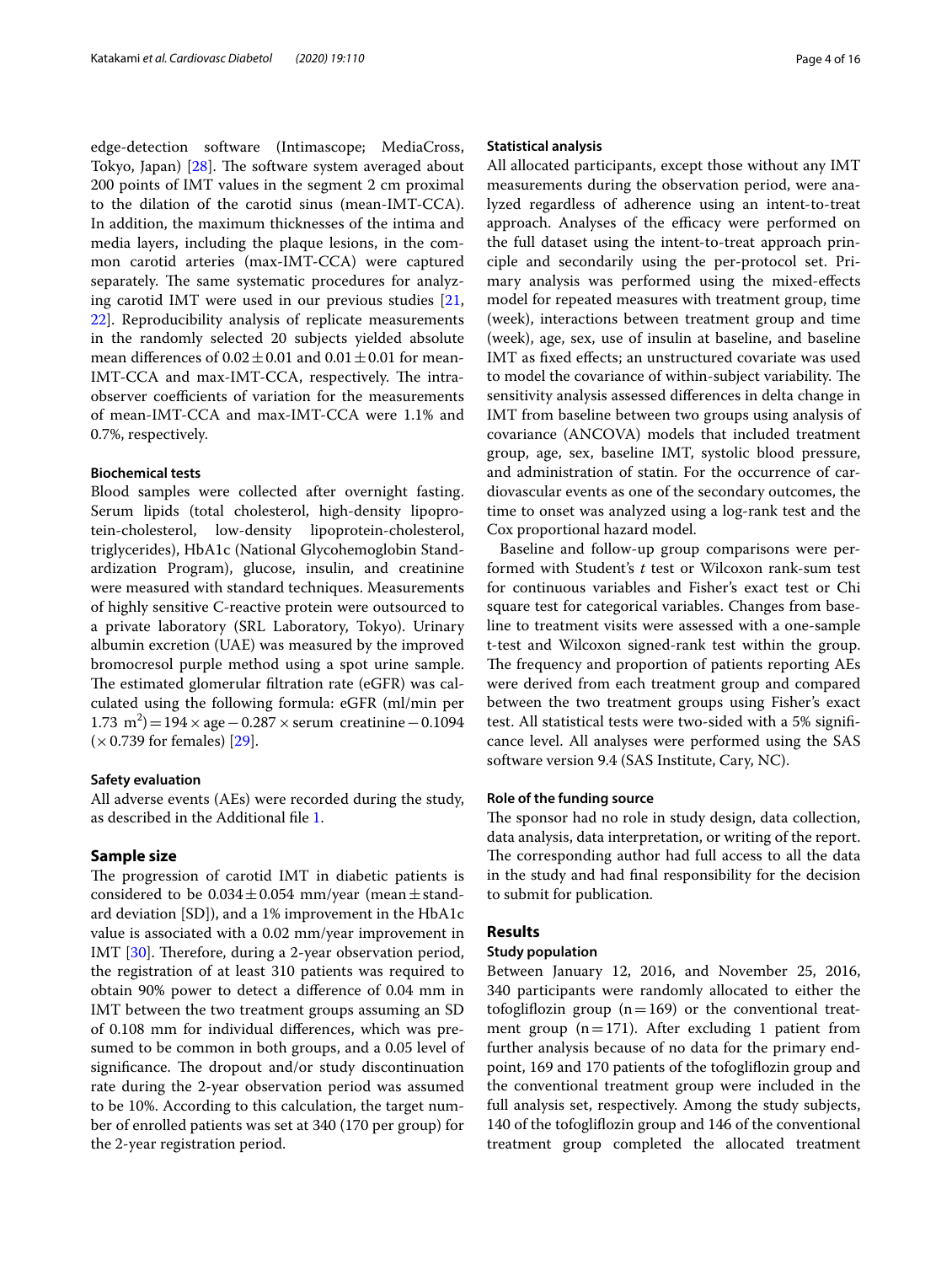edge-detection software (Intimascope; MediaCross, Tokyo, Japan) [\[28\]](#page-14-8). The software system averaged about 200 points of IMT values in the segment 2 cm proximal to the dilation of the carotid sinus (mean-IMT-CCA). In addition, the maximum thicknesses of the intima and media layers, including the plaque lesions, in the common carotid arteries (max-IMT-CCA) were captured separately. The same systematic procedures for analyzing carotid IMT were used in our previous studies [\[21](#page-14-9), [22\]](#page-14-10). Reproducibility analysis of replicate measurements in the randomly selected 20 subjects yielded absolute mean differences of  $0.02 \pm 0.01$  and  $0.01 \pm 0.01$  for mean-IMT-CCA and max-IMT-CCA, respectively. The intraobserver coefficients of variation for the measurements of mean-IMT-CCA and max-IMT-CCA were 1.1% and 0.7%, respectively.

## **Biochemical tests**

Blood samples were collected after overnight fasting. Serum lipids (total cholesterol, high-density lipoprotein-cholesterol, low-density lipoprotein-cholesterol, triglycerides), HbA1c (National Glycohemoglobin Standardization Program), glucose, insulin, and creatinine were measured with standard techniques. Measurements of highly sensitive C-reactive protein were outsourced to a private laboratory (SRL Laboratory, Tokyo). Urinary albumin excretion (UAE) was measured by the improved bromocresol purple method using a spot urine sample. The estimated glomerular filtration rate (eGFR) was calculated using the following formula: eGFR (ml/min per  $(1.73 \text{ m}^2) = 194 \times \text{age} - 0.287 \times \text{serum}$  creatinine − 0.1094  $(\times 0.739$  for females) [[29\]](#page-14-11).

#### **Safety evaluation**

All adverse events (AEs) were recorded during the study, as described in the Additional fle [1.](#page-12-0)

## **Sample size**

The progression of carotid IMT in diabetic patients is considered to be  $0.034 \pm 0.054$  mm/year (mean  $\pm$  standard deviation [SD]), and a 1% improvement in the HbA1c value is associated with a 0.02 mm/year improvement in IMT [[30\]](#page-14-12). Therefore, during a 2-year observation period, the registration of at least 310 patients was required to obtain 90% power to detect a diference of 0.04 mm in IMT between the two treatment groups assuming an SD of 0.108 mm for individual diferences, which was presumed to be common in both groups, and a 0.05 level of significance. The dropout and/or study discontinuation rate during the 2-year observation period was assumed to be 10%. According to this calculation, the target number of enrolled patients was set at 340 (170 per group) for the 2-year registration period.

#### **Statistical analysis**

All allocated participants, except those without any IMT measurements during the observation period, were analyzed regardless of adherence using an intent-to-treat approach. Analyses of the efficacy were performed on the full dataset using the intent-to-treat approach principle and secondarily using the per-protocol set. Primary analysis was performed using the mixed-efects model for repeated measures with treatment group, time (week), interactions between treatment group and time (week), age, sex, use of insulin at baseline, and baseline IMT as fxed efects; an unstructured covariate was used to model the covariance of within-subject variability. The sensitivity analysis assessed diferences in delta change in IMT from baseline between two groups using analysis of covariance (ANCOVA) models that included treatment group, age, sex, baseline IMT, systolic blood pressure, and administration of statin. For the occurrence of cardiovascular events as one of the secondary outcomes, the time to onset was analyzed using a log-rank test and the Cox proportional hazard model.

Baseline and follow-up group comparisons were performed with Student's *t* test or Wilcoxon rank-sum test for continuous variables and Fisher's exact test or Chi square test for categorical variables. Changes from baseline to treatment visits were assessed with a one-sample t-test and Wilcoxon signed-rank test within the group. The frequency and proportion of patients reporting AEs were derived from each treatment group and compared between the two treatment groups using Fisher's exact test. All statistical tests were two-sided with a 5% signifcance level. All analyses were performed using the SAS software version 9.4 (SAS Institute, Cary, NC).

### **Role of the funding source**

The sponsor had no role in study design, data collection, data analysis, data interpretation, or writing of the report. The corresponding author had full access to all the data in the study and had fnal responsibility for the decision to submit for publication.

#### **Results**

## **Study population**

Between January 12, 2016, and November 25, 2016, 340 participants were randomly allocated to either the tofogliflozin group  $(n=169)$  or the conventional treatment group  $(n=171)$ . After excluding 1 patient from further analysis because of no data for the primary endpoint, 169 and 170 patients of the tofoglifozin group and the conventional treatment group were included in the full analysis set, respectively. Among the study subjects, 140 of the tofoglifozin group and 146 of the conventional treatment group completed the allocated treatment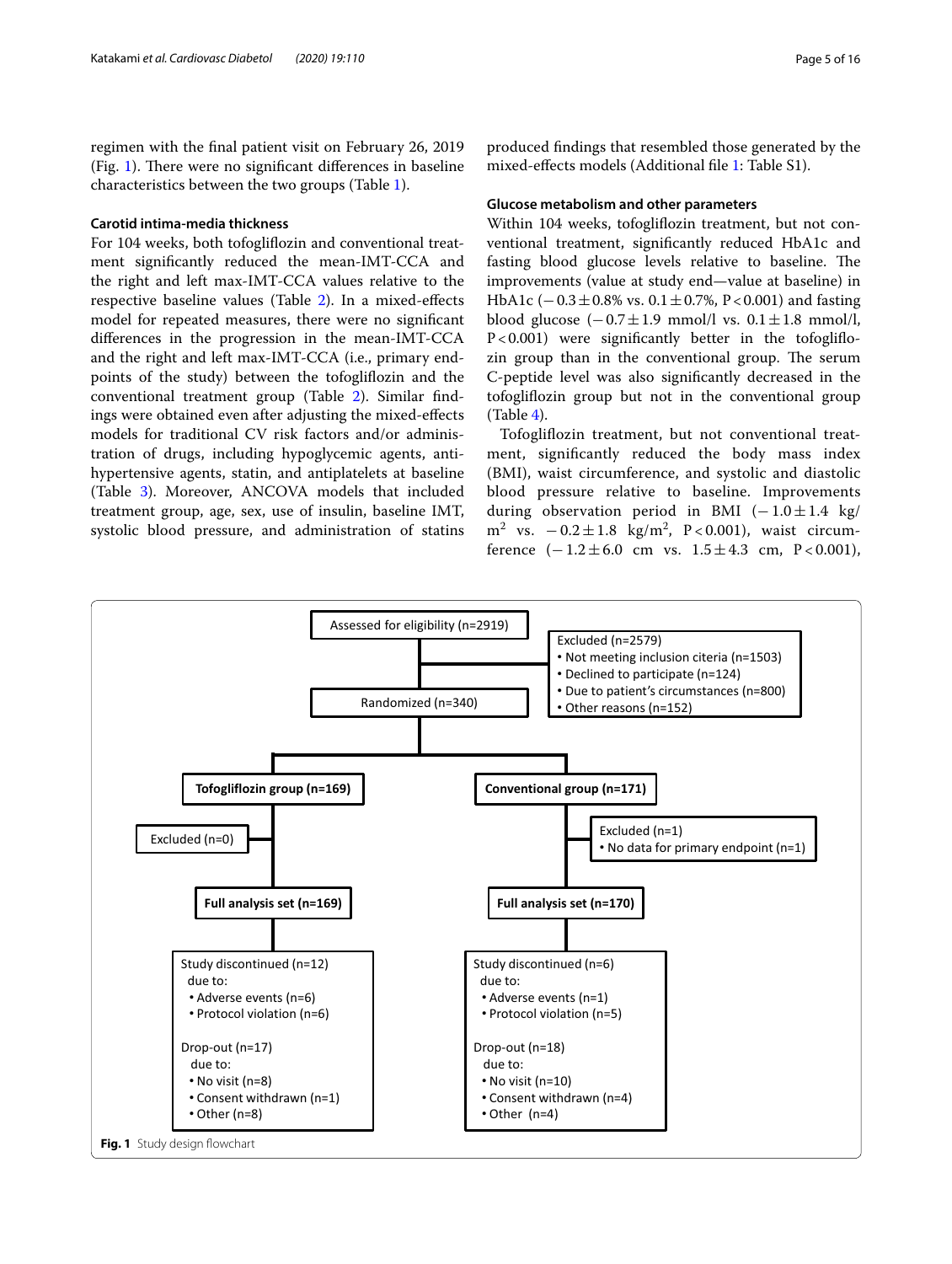regimen with the fnal patient visit on February 26, 2019 (Fig. [1\)](#page-4-0). There were no significant differences in baseline characteristics between the two groups (Table [1](#page-5-0)).

## **Carotid intima‑media thickness**

For 104 weeks, both tofoglifozin and conventional treatment signifcantly reduced the mean-IMT-CCA and the right and left max-IMT-CCA values relative to the respective baseline values (Table [2\)](#page-6-0). In a mixed-efects model for repeated measures, there were no signifcant diferences in the progression in the mean-IMT-CCA and the right and left max-IMT-CCA (i.e., primary endpoints of the study) between the tofoglifozin and the conventional treatment group (Table [2\)](#page-6-0). Similar fndings were obtained even after adjusting the mixed-efects models for traditional CV risk factors and/or administration of drugs, including hypoglycemic agents, antihypertensive agents, statin, and antiplatelets at baseline (Table [3\)](#page-6-1). Moreover, ANCOVA models that included treatment group, age, sex, use of insulin, baseline IMT, systolic blood pressure, and administration of statins

produced fndings that resembled those generated by the mixed-efects models (Additional fle [1](#page-12-0): Table S1).

#### **Glucose metabolism and other parameters**

Within 104 weeks, tofoglifozin treatment, but not conventional treatment, signifcantly reduced HbA1c and fasting blood glucose levels relative to baseline. The improvements (value at study end—value at baseline) in HbA1c (−0.3±0.8% vs. 0.1±0.7%, P<0.001) and fasting blood glucose  $(-0.7 \pm 1.9 \text{ mmol/l vs. } 0.1 \pm 1.8 \text{ mmol/l},$ P<0.001) were significantly better in the tofogliflozin group than in the conventional group. The serum C-peptide level was also signifcantly decreased in the tofoglifozin group but not in the conventional group  $(Table 4).$  $(Table 4).$  $(Table 4).$ 

Tofoglifozin treatment, but not conventional treatment, signifcantly reduced the body mass index (BMI), waist circumference, and systolic and diastolic blood pressure relative to baseline. Improvements during observation period in BMI  $(-1.0 \pm 1.4 \text{ kg})$ m<sup>2</sup> vs.  $-0.2 \pm 1.8$  kg/m<sup>2</sup>, P < 0.001), waist circumference  $(-1.2 \pm 6.0 \text{ cm} \text{ vs. } 1.5 \pm 4.3 \text{ cm}, \text{ P} < 0.001)$ ,

<span id="page-4-0"></span>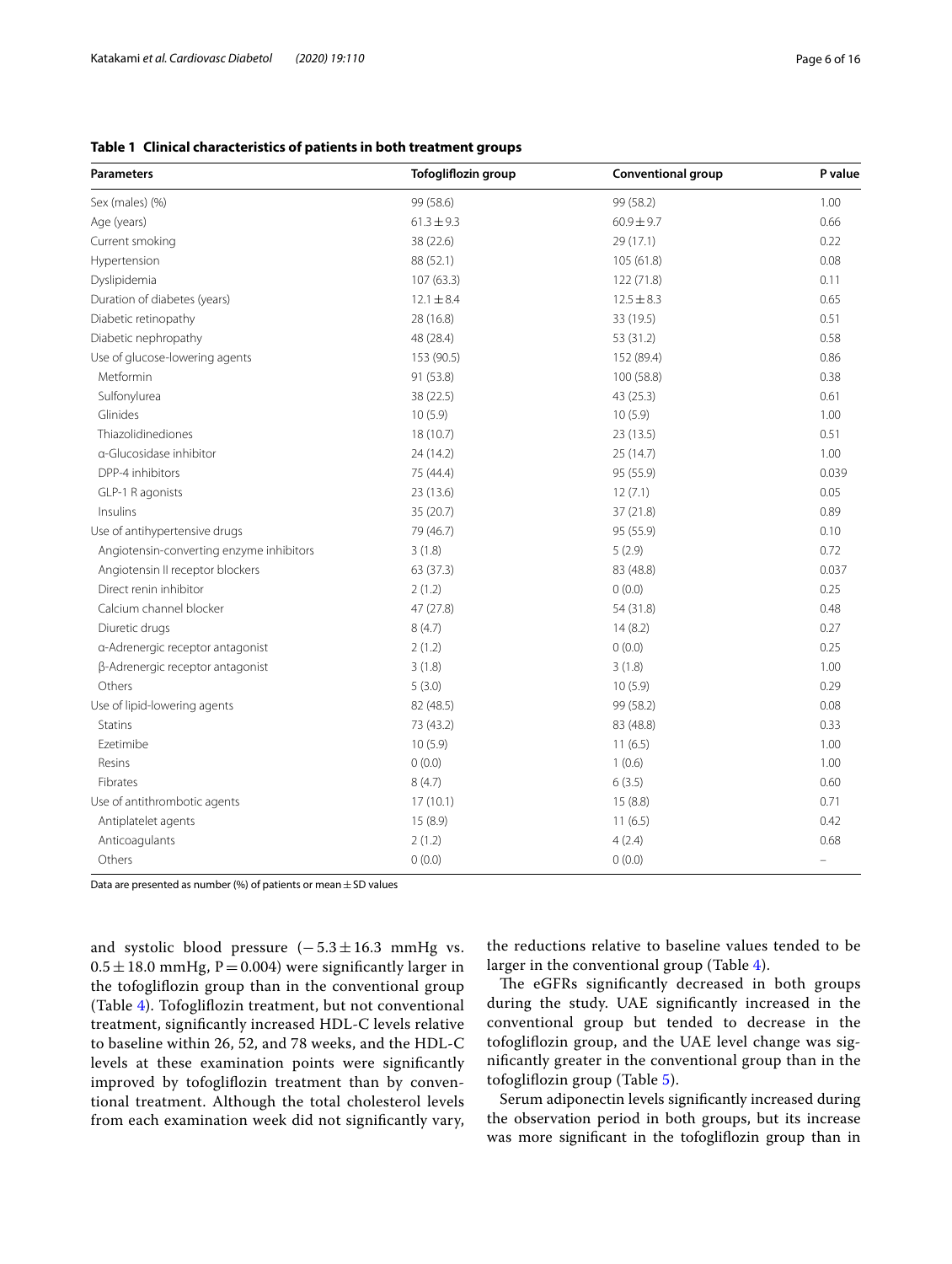## <span id="page-5-0"></span>**Table 1 Clinical characteristics of patients in both treatment groups**

| <b>Parameters</b>                        | <b>Tofogliflozin group</b> | Conventional group | P value |
|------------------------------------------|----------------------------|--------------------|---------|
| Sex (males) (%)                          | 99 (58.6)                  | 99 (58.2)          | 1.00    |
| Age (years)                              | $61.3 \pm 9.3$             | $60.9 \pm 9.7$     | 0.66    |
| Current smoking                          | 38 (22.6)                  | 29 (17.1)          | 0.22    |
| Hypertension                             | 88 (52.1)                  | 105(61.8)          | 0.08    |
| Dyslipidemia                             | 107(63.3)                  | 122 (71.8)         | 0.11    |
| Duration of diabetes (years)             | $12.1 \pm 8.4$             | $12.5 \pm 8.3$     | 0.65    |
| Diabetic retinopathy                     | 28 (16.8)                  | 33 (19.5)          | 0.51    |
| Diabetic nephropathy                     | 48 (28.4)                  | 53 (31.2)          | 0.58    |
| Use of glucose-lowering agents           | 153 (90.5)                 | 152 (89.4)         | 0.86    |
| Metformin                                | 91 (53.8)                  | 100 (58.8)         | 0.38    |
| Sulfonylurea                             | 38 (22.5)                  | 43 (25.3)          | 0.61    |
| Glinides                                 | 10(5.9)                    | 10(5.9)            | 1.00    |
| Thiazolidinediones                       | 18 (10.7)                  | 23 (13.5)          | 0.51    |
| a-Glucosidase inhibitor                  | 24 (14.2)                  | 25 (14.7)          | 1.00    |
| DPP-4 inhibitors                         | 75 (44.4)                  | 95 (55.9)          | 0.039   |
| GLP-1 R agonists                         | 23 (13.6)                  | 12(7.1)            | 0.05    |
| Insulins                                 | 35 (20.7)                  | 37 (21.8)          | 0.89    |
| Use of antihypertensive drugs            | 79 (46.7)                  | 95 (55.9)          | 0.10    |
| Angiotensin-converting enzyme inhibitors | 3(1.8)                     | 5(2.9)             | 0.72    |
| Angiotensin II receptor blockers         | 63(37.3)                   | 83 (48.8)          | 0.037   |
| Direct renin inhibitor                   | 2(1.2)                     | 0(0.0)             | 0.25    |
| Calcium channel blocker                  | 47 (27.8)                  | 54 (31.8)          | 0.48    |
| Diuretic drugs                           | 8(4.7)                     | 14(8.2)            | 0.27    |
| a-Adrenergic receptor antagonist         | 2(1.2)                     | 0(0.0)             | 0.25    |
| β-Adrenergic receptor antagonist         | 3(1.8)                     | 3(1.8)             | 1.00    |
| Others                                   | 5(3.0)                     | 10(5.9)            | 0.29    |
| Use of lipid-lowering agents             | 82 (48.5)                  | 99 (58.2)          | 0.08    |
| <b>Statins</b>                           | 73 (43.2)                  | 83 (48.8)          | 0.33    |
| Ezetimibe                                | 10(5.9)                    | 11(6.5)            | 1.00    |
| Resins                                   | 0(0.0)                     | 1(0.6)             | 1.00    |
| Fibrates                                 | 8(4.7)                     | 6(3.5)             | 0.60    |
| Use of antithrombotic agents             | 17(10.1)                   | 15(8.8)            | 0.71    |
| Antiplatelet agents                      | 15 (8.9)                   | 11(6.5)            | 0.42    |
| Anticoagulants                           | 2(1.2)                     | 4(2.4)             | 0.68    |
| Others                                   | 0(0.0)                     | 0(0.0)             |         |

Data are presented as number (%) of patients or mean  $\pm$  SD values

and systolic blood pressure  $(-5.3 \pm 16.3 \text{ mmHg vs.})$  $0.5 \pm 18.0$  mmHg, P = 0.004) were significantly larger in the tofoglifozin group than in the conventional group (Table [4\)](#page-7-0). Tofoglifozin treatment, but not conventional treatment, signifcantly increased HDL-C levels relative to baseline within 26, 52, and 78 weeks, and the HDL-C levels at these examination points were signifcantly improved by tofoglifozin treatment than by conventional treatment. Although the total cholesterol levels from each examination week did not signifcantly vary,

the reductions relative to baseline values tended to be larger in the conventional group (Table [4](#page-7-0)).

The eGFRs significantly decreased in both groups during the study. UAE signifcantly increased in the conventional group but tended to decrease in the tofoglifozin group, and the UAE level change was signifcantly greater in the conventional group than in the tofoglifozin group (Table [5](#page-8-0)).

Serum adiponectin levels signifcantly increased during the observation period in both groups, but its increase was more signifcant in the tofoglifozin group than in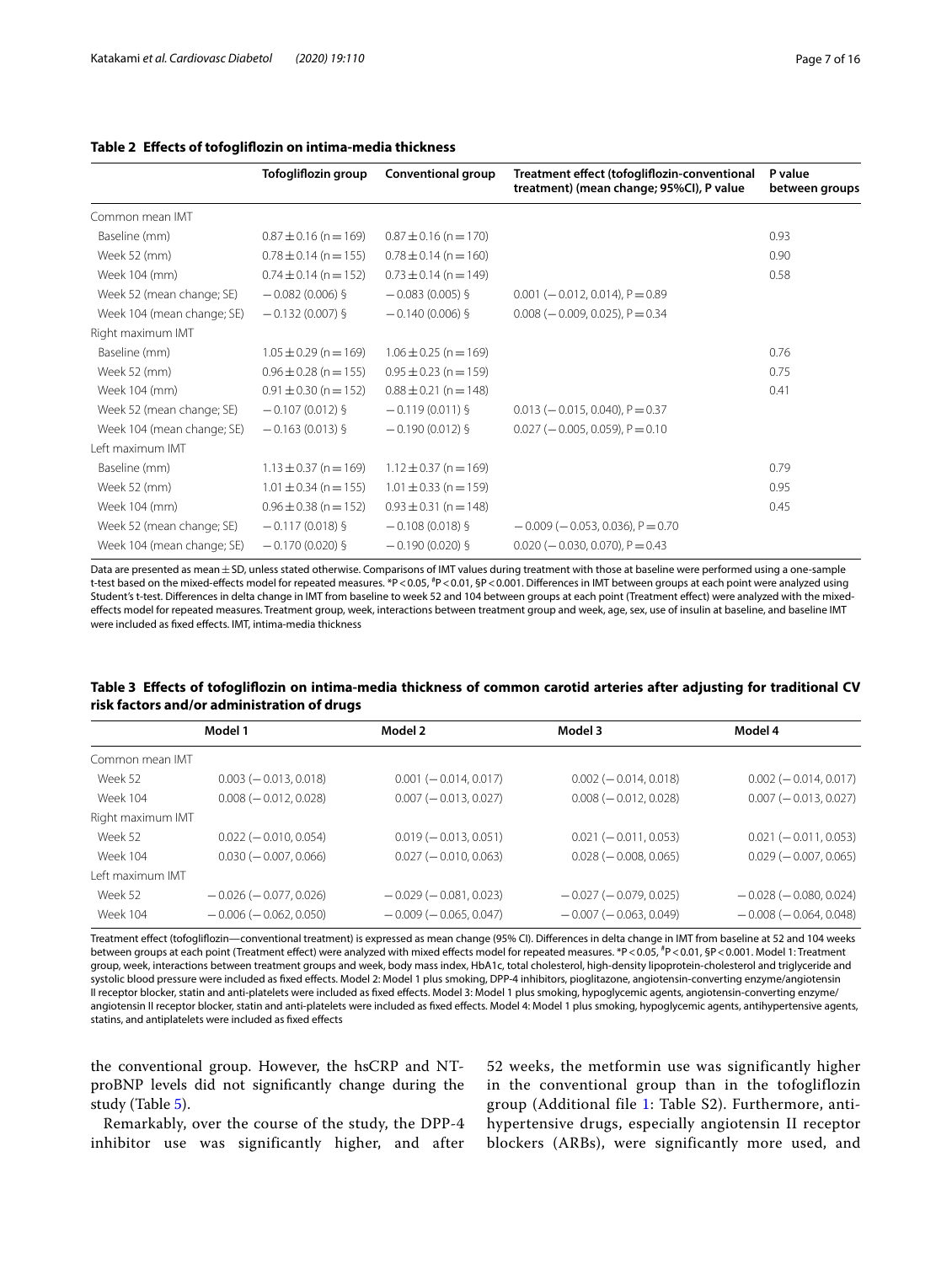|                            | Tofogliflozin group       | Conventional group        | Treatment effect (tofogliflozin-conventional<br>treatment) (mean change; 95%CI), P value | P value<br>between groups |
|----------------------------|---------------------------|---------------------------|------------------------------------------------------------------------------------------|---------------------------|
| Common mean IMT            |                           |                           |                                                                                          |                           |
| Baseline (mm)              | $0.87 \pm 0.16$ (n = 169) | $0.87 \pm 0.16$ (n = 170) |                                                                                          | 0.93                      |
| Week 52 (mm)               | $0.78 \pm 0.14$ (n = 155) | $0.78 \pm 0.14$ (n = 160) |                                                                                          | 0.90                      |
| Week 104 (mm)              | $0.74 \pm 0.14$ (n = 152) | $0.73 \pm 0.14$ (n = 149) |                                                                                          | 0.58                      |
| Week 52 (mean change; SE)  | $-0.082(0.006)$ §         | $-0.083(0.005)$ §         | $0.001 (-0.012, 0.014)$ , P = 0.89                                                       |                           |
| Week 104 (mean change; SE) | $-0.132(0.007)$ §         | $-0.140(0.006)$ §         | $0.008$ ( $-0.009$ , 0.025), $P = 0.34$                                                  |                           |
| Right maximum IMT          |                           |                           |                                                                                          |                           |
| Baseline (mm)              | $1.05 \pm 0.29$ (n = 169) | $1.06 \pm 0.25$ (n = 169) |                                                                                          | 0.76                      |
| Week 52 (mm)               | $0.96 \pm 0.28$ (n = 155) | $0.95 \pm 0.23$ (n = 159) |                                                                                          | 0.75                      |
| Week 104 (mm)              | $0.91 \pm 0.30$ (n = 152) | $0.88 \pm 0.21$ (n = 148) |                                                                                          | 0.41                      |
| Week 52 (mean change; SE)  | $-0.107(0.012)$ §         | $-0.119(0.011)$ §         | $0.013 (-0.015, 0.040)$ , P = 0.37                                                       |                           |
| Week 104 (mean change; SE) | $-0.163(0.013)$ §         | $-0.190(0.012)$ §         | $0.027$ (-0.005, 0.059), P = 0.10                                                        |                           |
| Left maximum IMT           |                           |                           |                                                                                          |                           |
| Baseline (mm)              | $1.13 \pm 0.37$ (n = 169) | $1.12 \pm 0.37$ (n = 169) |                                                                                          | 0.79                      |
| Week 52 (mm)               | $1.01 \pm 0.34$ (n = 155) | $1.01 \pm 0.33$ (n = 159) |                                                                                          | 0.95                      |
| Week 104 (mm)              | $0.96 \pm 0.38$ (n = 152) | $0.93 \pm 0.31$ (n = 148) |                                                                                          | 0.45                      |
| Week 52 (mean change; SE)  | $-0.117(0.018)$ §         | $-0.108(0.018)$ §         | $-0.009$ ( $-0.053$ , 0.036), $P = 0.70$                                                 |                           |
| Week 104 (mean change; SE) | $-0.170(0.020)$ §         | $-0.190(0.020)$ §         | $0.020$ ( $-0.030$ , 0.070), $P = 0.43$                                                  |                           |

## <span id="page-6-0"></span>**Table 2 Efects of tofoglifozin on intima-media thickness**

Data are presented as mean ± SD, unless stated otherwise. Comparisons of IMT values during treatment with those at baseline were performed using a one-sample t-test based on the mixed-effects model for repeated measures. \*P<0.05, <sup>#</sup>P<0.01, §P<0.001. Differences in IMT between groups at each point were analyzed using Student's t-test. Diferences in delta change in IMT from baseline to week 52 and 104 between groups at each point (Treatment efect) were analyzed with the mixedefects model for repeated measures. Treatment group, week, interactions between treatment group and week, age, sex, use of insulin at baseline, and baseline IMT were included as fxed efects. IMT, intima-media thickness

## <span id="page-6-1"></span>**Table 3 Efects of tofoglifozin on intima-media thickness of common carotid arteries after adjusting for traditional CV risk factors and/or administration of drugs**

|                   | Model 1                      | Model 2                      | Model 3                      | Model 4                      |
|-------------------|------------------------------|------------------------------|------------------------------|------------------------------|
| Common mean IMT   |                              |                              |                              |                              |
| Week 52           | $0.003 (-0.013, 0.018)$      | $0.001 (-0.014, 0.017)$      | $0.002 (-0.014, 0.018)$      | $0.002 (-0.014, 0.017)$      |
| Week 104          | $0.008 (-0.012, 0.028)$      | $0.007 (-0.013, 0.027)$      | $0.008 (-0.012, 0.028)$      | $0.007 (-0.013, 0.027)$      |
| Right maximum IMT |                              |                              |                              |                              |
| Week 52           | $0.022 (-0.010, 0.054)$      | $0.019 (-0.013, 0.051)$      | $0.021 (-0.011, 0.053)$      | $0.021 (-0.011, 0.053)$      |
| <b>Week 104</b>   | $0.030 (-0.007, 0.066)$      | $0.027 (-0.010, 0.063)$      | $0.028 (-0.008, 0.065)$      | $0.029 (-0.007, 0.065)$      |
| Left maximum IMT  |                              |                              |                              |                              |
| Week 52           | $-0.026$ ( $-0.077, 0.026$ ) | $-0.029(-0.081, 0.023)$      | $-0.027$ ( $-0.079$ , 0.025) | $-0.028$ ( $-0.080, 0.024$ ) |
| <b>Week 104</b>   | $-0.006$ ( $-0.062, 0.050$ ) | $-0.009$ ( $-0.065, 0.047$ ) | $-0.007$ ( $-0.063$ , 0.049) | $-0.008(-0.064, 0.048)$      |
|                   |                              |                              |                              |                              |

Treatment efect (tofoglifozin—conventional treatment) is expressed as mean change (95% CI). Diferences in delta change in IMT from baseline at 52 and 104 weeks between groups at each point (Treatment efect) were analyzed with mixed efects model for repeated measures. \*P<0.05, # P<0.01, §P<0.001. Model 1: Treatment group, week, interactions between treatment groups and week, body mass index, HbA1c, total cholesterol, high-density lipoprotein-cholesterol and triglyceride and systolic blood pressure were included as fxed efects. Model 2: Model 1 plus smoking, DPP-4 inhibitors, pioglitazone, angiotensin-converting enzyme/angiotensin II receptor blocker, statin and anti-platelets were included as fxed efects. Model 3: Model 1 plus smoking, hypoglycemic agents, angiotensin-converting enzyme/ angiotensin II receptor blocker, statin and anti-platelets were included as fixed effects. Model 4: Model 1 plus smoking, hypoglycemic agents, antihypertensive agents, statins, and antiplatelets were included as fxed efects

the conventional group. However, the hsCRP and NTproBNP levels did not signifcantly change during the study (Table [5\)](#page-8-0).

Remarkably, over the course of the study, the DPP-4 inhibitor use was significantly higher, and after

52 weeks, the metformin use was significantly higher in the conventional group than in the tofogliflozin group (Additional file [1:](#page-12-0) Table S2). Furthermore, antihypertensive drugs, especially angiotensin II receptor blockers (ARBs), were significantly more used, and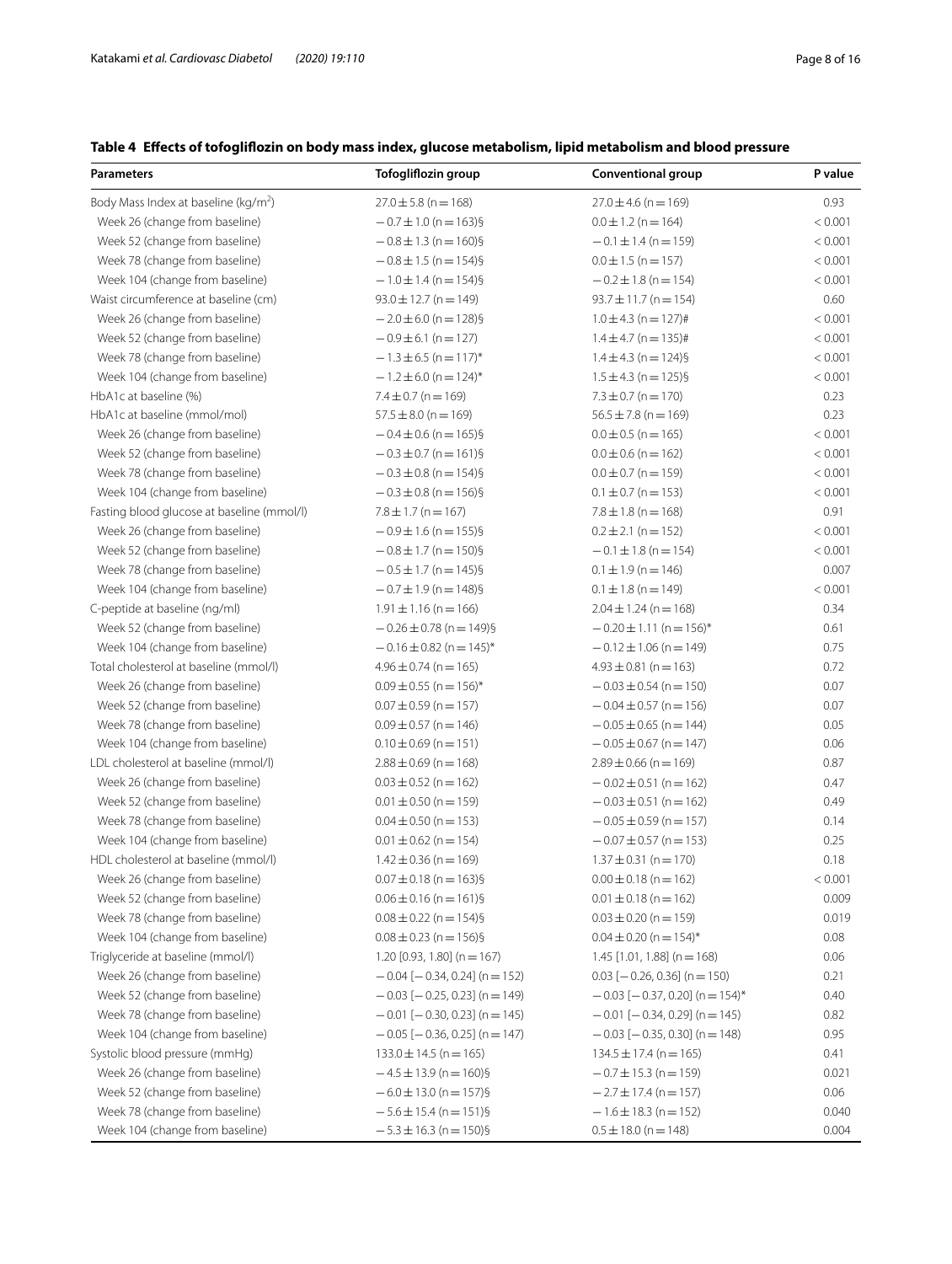## <span id="page-7-0"></span>**Table 4 Efects of tofoglifozin on body mass index, glucose metabolism, lipid metabolism and blood pressure**

| Parameters                                       | Tofogliflozin group                   | Conventional group                     | P value |
|--------------------------------------------------|---------------------------------------|----------------------------------------|---------|
| Body Mass Index at baseline (kg/m <sup>2</sup> ) | $27.0 \pm 5.8$ (n = 168)              | $27.0 \pm 4.6$ (n = 169)               | 0.93    |
| Week 26 (change from baseline)                   | $-0.7 \pm 1.0$ (n = 163)§             | $0.0 \pm 1.2$ (n = 164)                | < 0.001 |
| Week 52 (change from baseline)                   | $-0.8 \pm 1.3$ (n = 160)§             | $-0.1 \pm 1.4$ (n = 159)               | < 0.001 |
| Week 78 (change from baseline)                   | $-0.8 \pm 1.5$ (n = 154)§             | $0.0 \pm 1.5$ (n = 157)                | < 0.001 |
| Week 104 (change from baseline)                  | $-1.0 \pm 1.4$ (n = 154)§             | $-0.2 \pm 1.8$ (n = 154)               | < 0.001 |
| Waist circumference at baseline (cm)             | $93.0 \pm 12.7$ (n = 149)             | $93.7 \pm 11.7$ (n = 154)              | 0.60    |
| Week 26 (change from baseline)                   | $-2.0 \pm 6.0$ (n = 128)§             | $1.0 \pm 4.3$ (n = 127)#               | < 0.001 |
| Week 52 (change from baseline)                   | $-0.9 \pm 6.1$ (n = 127)              | $1.4 \pm 4.7$ (n = 135)#               | < 0.001 |
| Week 78 (change from baseline)                   | $-1.3 \pm 6.5$ (n = 117) <sup>*</sup> | $1.4 \pm 4.3$ (n = 124)§               | < 0.001 |
| Week 104 (change from baseline)                  | $-1.2 \pm 6.0$ (n = 124) <sup>*</sup> | $1.5 \pm 4.3$ (n = 125)§               | < 0.001 |
| HbA1c at baseline (%)                            | $7.4 \pm 0.7$ (n = 169)               | $7.3 \pm 0.7$ (n = 170)                | 0.23    |
| HbA1c at baseline (mmol/mol)                     | $57.5 \pm 8.0$ (n = 169)              | $56.5 \pm 7.8$ (n = 169)               | 0.23    |
| Week 26 (change from baseline)                   | $-0.4 \pm 0.6$ (n = 165)§             | $0.0 \pm 0.5$ (n = 165)                | < 0.001 |
| Week 52 (change from baseline)                   | $-0.3 \pm 0.7$ (n = 161)§             | $0.0 \pm 0.6$ (n = 162)                | < 0.001 |
| Week 78 (change from baseline)                   | $-0.3 \pm 0.8$ (n = 154)§             | $0.0 \pm 0.7$ (n = 159)                | < 0.001 |
| Week 104 (change from baseline)                  | $-0.3 \pm 0.8$ (n = 156)§             | $0.1 \pm 0.7$ (n = 153)                | < 0.001 |
| Fasting blood glucose at baseline (mmol/l)       | $7.8 \pm 1.7$ (n = 167)               | $7.8 \pm 1.8$ (n = 168)                | 0.91    |
| Week 26 (change from baseline)                   | $-0.9 \pm 1.6$ (n = 155)§             | $0.2 \pm 2.1$ (n = 152)                | < 0.001 |
| Week 52 (change from baseline)                   | $-0.8 \pm 1.7$ (n = 150)§             | $-0.1 \pm 1.8$ (n = 154)               | < 0.001 |
| Week 78 (change from baseline)                   | $-0.5 \pm 1.7$ (n = 145)§             | $0.1 \pm 1.9$ (n = 146)                | 0.007   |
| Week 104 (change from baseline)                  | $-0.7 \pm 1.9$ (n = 148)§             | $0.1 \pm 1.8$ (n = 149)                | < 0.001 |
| C-peptide at baseline (ng/ml)                    | $1.91 \pm 1.16$ (n = 166)             | $2.04 \pm 1.24$ (n = 168)              | 0.34    |
| Week 52 (change from baseline)                   | $-0.26 \pm 0.78$ (n = 149)§           | $-0.20 \pm 1.11$ (n = 156)*            | 0.61    |
| Week 104 (change from baseline)                  | $-0.16 \pm 0.82$ (n = 145)*           | $-0.12 \pm 1.06$ (n = 149)             | 0.75    |
| Total cholesterol at baseline (mmol/l)           | $4.96 \pm 0.74$ (n = 165)             | $4.93 \pm 0.81$ (n = 163)              | 0.72    |
| Week 26 (change from baseline)                   | $0.09 \pm 0.55$ (n = 156)*            | $-0.03 \pm 0.54$ (n = 150)             | 0.07    |
| Week 52 (change from baseline)                   | $0.07 \pm 0.59$ (n = 157)             | $-0.04 \pm 0.57$ (n = 156)             | 0.07    |
| Week 78 (change from baseline)                   | $0.09 \pm 0.57$ (n = 146)             | $-0.05 \pm 0.65$ (n = 144)             | 0.05    |
| Week 104 (change from baseline)                  | $0.10 \pm 0.69$ (n = 151)             | $-0.05 \pm 0.67$ (n = 147)             | 0.06    |
| LDL cholesterol at baseline (mmol/l)             | $2.88 \pm 0.69$ (n = 168)             | $2.89 \pm 0.66$ (n = 169)              | 0.87    |
| Week 26 (change from baseline)                   | $0.03 \pm 0.52$ (n = 162)             | $-0.02 \pm 0.51$ (n = 162)             | 0.47    |
| Week 52 (change from baseline)                   | $0.01 \pm 0.50$ (n = 159)             | $-0.03 \pm 0.51$ (n = 162)             | 0.49    |
| Week 78 (change from baseline)                   | $0.04 \pm 0.50$ (n = 153)             | $-0.05 \pm 0.59$ (n = 157)             | 0.14    |
| Week 104 (change from baseline)                  | $0.01 \pm 0.62$ (n = 154)             | $-0.07 \pm 0.57$ (n = 153)             | 0.25    |
| HDL cholesterol at baseline (mmol/l)             | $1.42 \pm 0.36$ (n = 169)             | $1.37 \pm 0.31$ (n = 170)              | 0.18    |
| Week 26 (change from baseline)                   | $0.07 \pm 0.18$ (n = 163)§            | $0.00 \pm 0.18$ (n = 162)              | < 0.001 |
| Week 52 (change from baseline)                   | $0.06 \pm 0.16$ (n = 161)§            | $0.01 \pm 0.18$ (n = 162)              | 0.009   |
| Week 78 (change from baseline)                   | $0.08 \pm 0.22$ (n = 154)§            | $0.03 \pm 0.20$ (n = 159)              | 0.019   |
| Week 104 (change from baseline)                  | $0.08 \pm 0.23$ (n = 156)§            | $0.04 \pm 0.20$ (n = 154) <sup>*</sup> | 0.08    |
| Triglyceride at baseline (mmol/l)                | 1.20 $[0.93, 1.80]$ (n = 167)         | $1.45$ [1.01, 1.88] (n = 168)          | 0.06    |
| Week 26 (change from baseline)                   | $-0.04$ [ $-0.34$ , 0.24] (n = 152)   | $0.03$ [-0.26, 0.36] (n = 150)         | 0.21    |
| Week 52 (change from baseline)                   | $-0.03$ [ $-0.25$ , 0.23] (n = 149)   | $-0.03$ [ $-0.37$ , 0.20] (n = 154)*   | 0.40    |
| Week 78 (change from baseline)                   | $-0.01$ [ $-0.30$ , 0.23] (n = 145)   | $-0.01$ [ $-0.34$ , 0.29] (n = 145)    | 0.82    |
| Week 104 (change from baseline)                  | $-0.05$ [ $-0.36$ , 0.25] (n = 147)   | $-0.03$ [ $-0.35$ , 0.30] (n = 148)    | 0.95    |
| Systolic blood pressure (mmHg)                   | $133.0 \pm 14.5$ (n = 165)            | $134.5 \pm 17.4$ (n = 165)             | 0.41    |
| Week 26 (change from baseline)                   | $-4.5 \pm 13.9$ (n = 160)§            | $-0.7 \pm 15.3$ (n = 159)              | 0.021   |
| Week 52 (change from baseline)                   | $-6.0 \pm 13.0$ (n = 157)§            | $-2.7 \pm 17.4$ (n = 157)              | 0.06    |
| Week 78 (change from baseline)                   | $-5.6 \pm 15.4$ (n = 151)§            | $-1.6 \pm 18.3$ (n = 152)              | 0.040   |
| Week 104 (change from baseline)                  | $-5.3 \pm 16.3$ (n = 150)§            | $0.5 \pm 18.0$ (n = 148)               | 0.004   |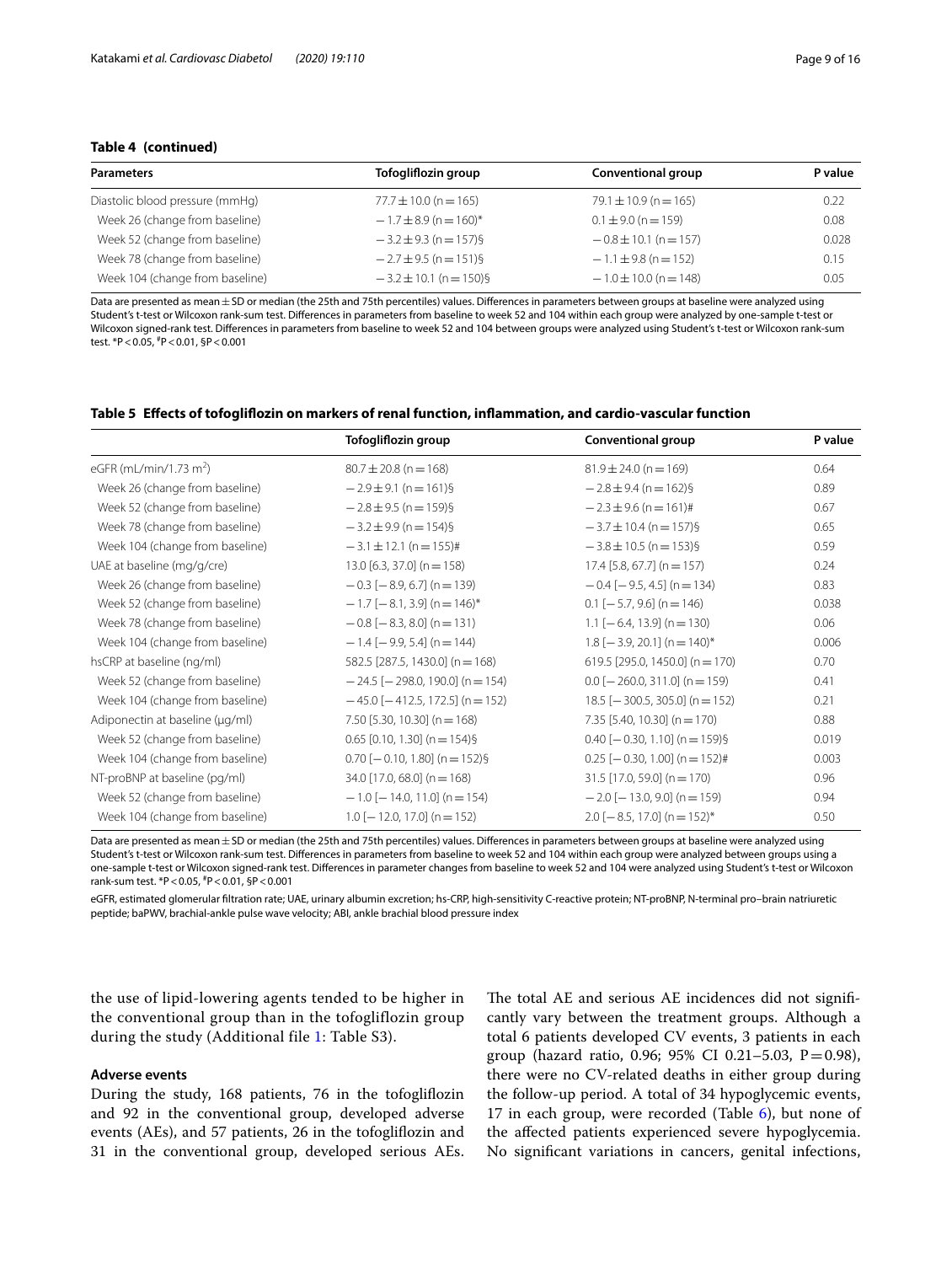## **Table 4 (continued)**

| <b>Parameters</b>               | Tofogliflozin group        | Conventional group        | P value |
|---------------------------------|----------------------------|---------------------------|---------|
| Diastolic blood pressure (mmHg) | $77.7 \pm 10.0$ (n = 165)  | $79.1 \pm 10.9$ (n = 165) | 0.22    |
| Week 26 (change from baseline)  | $-1.7 \pm 8.9$ (n = 160)*  | $0.1 \pm 9.0$ (n = 159)   | 0.08    |
| Week 52 (change from baseline)  | $-3.2 \pm 9.3$ (n = 157)§  | $-0.8 \pm 10.1$ (n = 157) | 0.028   |
| Week 78 (change from baseline)  | $-2.7 \pm 9.5$ (n = 151)§  | $-1.1 \pm 9.8$ (n = 152)  | 0.15    |
| Week 104 (change from baseline) | $-3.2 \pm 10.1$ (n = 150)§ | $-1.0 \pm 10.0$ (n = 148) | 0.05    |

Data are presented as mean ± SD or median (the 25th and 75th percentiles) values. Differences in parameters between groups at baseline were analyzed using Student's t-test or Wilcoxon rank-sum test. Diferences in parameters from baseline to week 52 and 104 within each group were analyzed by one-sample t-test or Wilcoxon signed-rank test. Diferences in parameters from baseline to week 52 and 104 between groups were analyzed using Student's t-test or Wilcoxon rank-sum test. \*P<0.05, # P<0.01, §P<0.001

#### <span id="page-8-0"></span>**Table 5 Efects of tofoglifozin on markers of renal function, infammation, and cardio-vascular function**

|                                    | Tofogliflozin group                             | <b>Conventional group</b>         | P value |
|------------------------------------|-------------------------------------------------|-----------------------------------|---------|
| eGFR (mL/min/1.73 m <sup>2</sup> ) | $80.7 \pm 20.8$ (n = 168)                       | $81.9 \pm 24.0$ (n = 169)         | 0.64    |
| Week 26 (change from baseline)     | $-2.9 \pm 9.1$ (n = 161)§                       | $-2.8 \pm 9.4$ (n = 162)§         | 0.89    |
| Week 52 (change from baseline)     | $-2.8 \pm 9.5$ (n = 159)§                       | $-2.3 \pm 9.6$ (n = 161)#         | 0.67    |
| Week 78 (change from baseline)     | $-3.2 \pm 9.9$ (n = 154)§                       | $-3.7 \pm 10.4$ (n = 157)§        | 0.65    |
| Week 104 (change from baseline)    | $-3.1 \pm 12.1$ (n = 155)#                      | $-3.8 \pm 10.5$ (n = 153)§        | 0.59    |
| UAE at baseline (mg/g/cre)         | $13.0$ [6.3, 37.0] (n = 158)                    | $17.4$ [5.8, 67.7] (n = 157)      | 0.24    |
| Week 26 (change from baseline)     | $-0.3$ [ $-8.9$ , 6.7] (n = 139)                | $-0.4$ [ $-9.5$ , 4.5] (n = 134)  | 0.83    |
| Week 52 (change from baseline)     | $-1.7$ [ $-8.1$ , 3.9] (n $=$ 146) <sup>*</sup> | $0.1$ [-5.7, 9.6] (n = 146)       | 0.038   |
| Week 78 (change from baseline)     | $-0.8$ [ $-8.3$ , 8.0] (n = 131)                | $1.1$ [-6.4, 13.9] (n = 130)      | 0.06    |
| Week 104 (change from baseline)    | $-1.4$ [-9.9, 5.4] (n = 144)                    | $1.8$ [-3.9, 20.1] (n = 140)*     | 0.006   |
| hsCRP at baseline (ng/ml)          | 582.5 [287.5, 1430.0] (n = 168)                 | 619.5 [295.0, 1450.0] (n = 170)   | 0.70    |
| Week 52 (change from baseline)     | $-24.5$ [ $-298.0$ , 190.0] (n $=$ 154)         | $0.0$ [-260.0, 311.0] (n = 159)   | 0.41    |
| Week 104 (change from baseline)    | $-45.0$ [ $-412.5$ , 172.5] (n = 152)           | $18.5$ [-300.5, 305.0] (n = 152)  | 0.21    |
| Adiponectin at baseline (µq/ml)    | 7.50 [5.30, 10.30] (n = 168)                    | 7.35 [5.40, 10.30] (n = 170)      | 0.88    |
| Week 52 (change from baseline)     | $0.65$ [0.10, 1.30] (n = 154)§                  | $0.40$ [-0.30, 1.10] (n = 159)§   | 0.019   |
| Week 104 (change from baseline)    | $0.70$ [-0.10, 1.80] (n = 152)§                 | $0.25$ [-0.30, 1.00] (n = 152)#   | 0.003   |
| NT-proBNP at baseline (pg/ml)      | $34.0$ [17.0, 68.0] (n = 168)                   | $31.5$ [17.0, 59.0] (n = 170)     | 0.96    |
| Week 52 (change from baseline)     | $-1.0$ [ $-14.0$ , 11.0] (n = 154)              | $-2.0$ [ $-13.0$ , 9.0] (n = 159) | 0.94    |
| Week 104 (change from baseline)    | $1.0$ [-12.0, 17.0] (n = 152)                   | $2.0$ [-8.5, 17.0] (n = 152)*     | 0.50    |

Data are presented as mean ± SD or median (the 25th and 75th percentiles) values. Differences in parameters between groups at baseline were analyzed using Student's t-test or Wilcoxon rank-sum test. Diferences in parameters from baseline to week 52 and 104 within each group were analyzed between groups using a one-sample t-test or Wilcoxon signed-rank test. Diferences in parameter changes from baseline to week 52 and 104 were analyzed using Student's t-test or Wilcoxon rank-sum test. \*P<0.05, # P<0.01, §P<0.001

eGFR, estimated glomerular fltration rate; UAE, urinary albumin excretion; hs-CRP, high-sensitivity C-reactive protein; NT-proBNP, N-terminal pro–brain natriuretic peptide; baPWV, brachial-ankle pulse wave velocity; ABI, ankle brachial blood pressure index

the use of lipid-lowering agents tended to be higher in the conventional group than in the tofogliflozin group during the study (Additional file [1:](#page-12-0) Table S3).

#### **Adverse events**

During the study, 168 patients, 76 in the tofoglifozin and 92 in the conventional group, developed adverse events (AEs), and 57 patients, 26 in the tofoglifozin and 31 in the conventional group, developed serious AEs.

The total AE and serious AE incidences did not significantly vary between the treatment groups. Although a total 6 patients developed CV events, 3 patients in each group (hazard ratio, 0.96; 95% CI 0.21-5.03, P=0.98), there were no CV-related deaths in either group during the follow-up period. A total of 34 hypoglycemic events, 17 in each group, were recorded (Table [6\)](#page-9-0), but none of the afected patients experienced severe hypoglycemia. No signifcant variations in cancers, genital infections,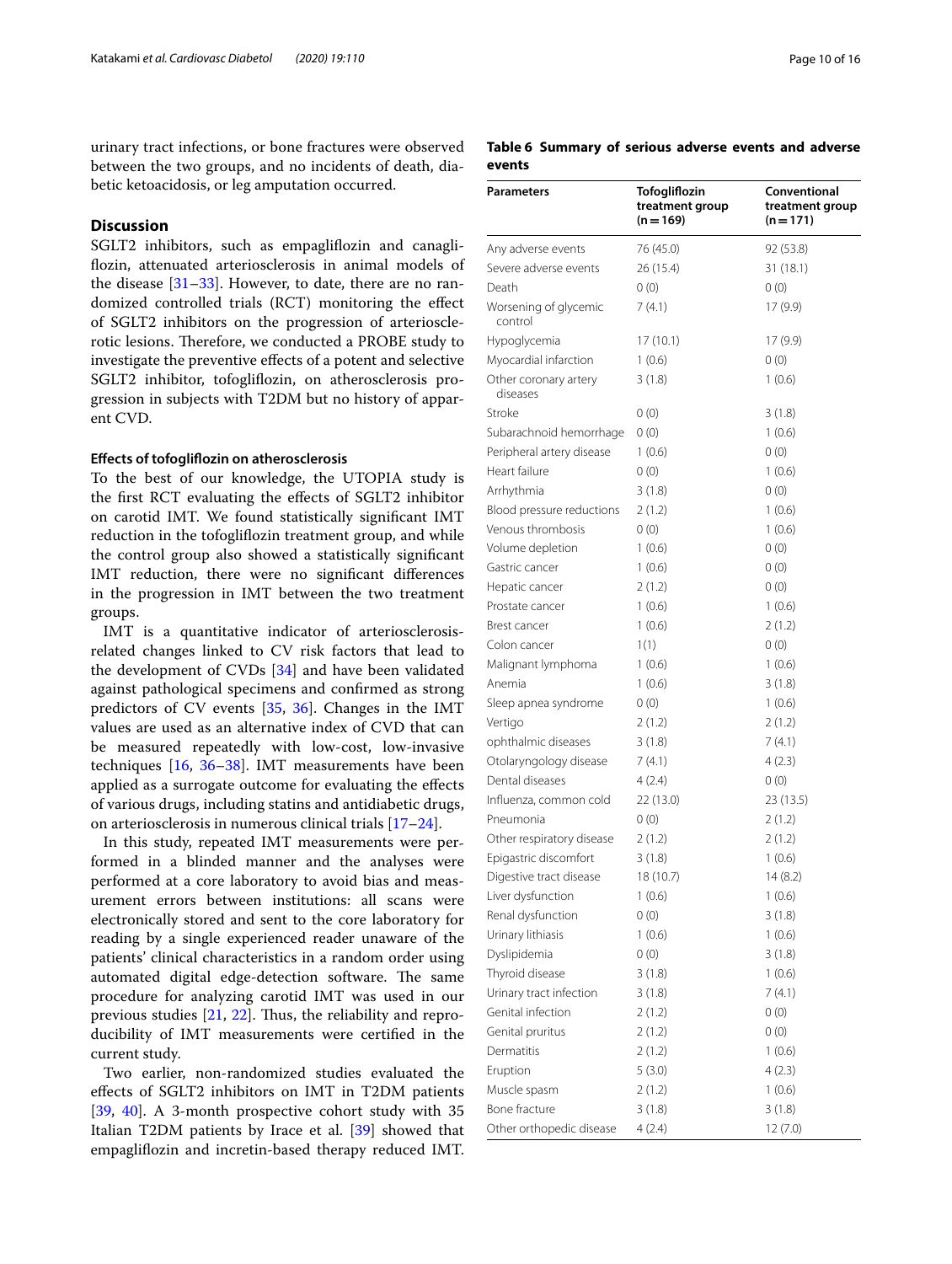urinary tract infections, or bone fractures were observed between the two groups, and no incidents of death, diabetic ketoacidosis, or leg amputation occurred.

## **Discussion**

SGLT2 inhibitors, such as empaglifozin and canaglifozin, attenuated arteriosclerosis in animal models of the disease  $[31-33]$  $[31-33]$  $[31-33]$ . However, to date, there are no randomized controlled trials (RCT) monitoring the efect of SGLT2 inhibitors on the progression of arteriosclerotic lesions. Therefore, we conducted a PROBE study to investigate the preventive efects of a potent and selective SGLT2 inhibitor, tofoglifozin, on atherosclerosis progression in subjects with T2DM but no history of apparent CVD.

#### **Efects of tofoglifozin on atherosclerosis**

To the best of our knowledge, the UTOPIA study is the frst RCT evaluating the efects of SGLT2 inhibitor on carotid IMT. We found statistically signifcant IMT reduction in the tofoglifozin treatment group, and while the control group also showed a statistically signifcant IMT reduction, there were no signifcant diferences in the progression in IMT between the two treatment groups.

IMT is a quantitative indicator of arteriosclerosisrelated changes linked to CV risk factors that lead to the development of CVDs [[34\]](#page-14-15) and have been validated against pathological specimens and confrmed as strong predictors of CV events [[35,](#page-14-16) [36\]](#page-14-17). Changes in the IMT values are used as an alternative index of CVD that can be measured repeatedly with low-cost, low-invasive techniques [[16,](#page-14-2) [36–](#page-14-17)[38\]](#page-14-18). IMT measurements have been applied as a surrogate outcome for evaluating the efects of various drugs, including statins and antidiabetic drugs, on arteriosclerosis in numerous clinical trials [[17–](#page-14-3)[24](#page-14-4)].

In this study, repeated IMT measurements were performed in a blinded manner and the analyses were performed at a core laboratory to avoid bias and measurement errors between institutions: all scans were electronically stored and sent to the core laboratory for reading by a single experienced reader unaware of the patients' clinical characteristics in a random order using automated digital edge-detection software. The same procedure for analyzing carotid IMT was used in our previous studies  $[21, 22]$  $[21, 22]$  $[21, 22]$  $[21, 22]$ . Thus, the reliability and reproducibility of IMT measurements were certifed in the current study.

Two earlier, non-randomized studies evaluated the efects of SGLT2 inhibitors on IMT in T2DM patients [[39,](#page-14-19) [40](#page-14-20)]. A 3-month prospective cohort study with 35 Italian T2DM patients by Irace et al. [\[39\]](#page-14-19) showed that empaglifozin and incretin-based therapy reduced IMT.

## <span id="page-9-0"></span>**Table 6 Summary of serious adverse events and adverse events**

| <b>Parameters</b>                 | Tofogliflozin<br>treatment group<br>$(n = 169)$ | Conventional<br>treatment group<br>$(n = 171)$ |
|-----------------------------------|-------------------------------------------------|------------------------------------------------|
| Any adverse events                | 76 (45.0)                                       | 92 (53.8)                                      |
| Severe adverse events             | 26 (15.4)                                       | 31 (18.1)                                      |
| Death                             | 0(0)                                            | 0(0)                                           |
| Worsening of glycemic<br>control  | 7 (4.1)                                         | 17(9.9)                                        |
| Hypoglycemia                      | 17 (10.1)                                       | 17 (9.9)                                       |
| Myocardial infarction             | 1(0.6)                                          | 0(0)                                           |
| Other coronary artery<br>diseases | 3(1.8)                                          | 1(0.6)                                         |
| Stroke                            | 0(0)                                            | 3(1.8)                                         |
| Subarachnoid hemorrhage           | 0(0)                                            | 1(0.6)                                         |
| Peripheral artery disease         | 1(0.6)                                          | 0(0)                                           |
| Heart failure                     | 0(0)                                            | 1(0.6)                                         |
| Arrhythmia                        | 3(1.8)                                          | 0(0)                                           |
| Blood pressure reductions         | 2(1.2)                                          | 1(0.6)                                         |
| Venous thrombosis                 | 0(0)                                            | 1(0.6)                                         |
| Volume depletion                  | 1(0.6)                                          | 0(0)                                           |
| Gastric cancer                    | 1(0.6)                                          | 0(0)                                           |
| Hepatic cancer                    | 2(1.2)                                          | 0(0)                                           |
| Prostate cancer                   | 1(0.6)                                          | 1(0.6)                                         |
| Brest cancer                      | 1(0.6)                                          | 2(1.2)                                         |
| Colon cancer                      | 1(1)                                            | 0(0)                                           |
| Malignant lymphoma                | 1(0.6)                                          | 1(0.6)                                         |
| Anemia                            | 1(0.6)                                          | 3(1.8)                                         |
| Sleep apnea syndrome              | 0(0)                                            | 1(0.6)                                         |
| Vertigo                           | 2(1.2)                                          | 2(1.2)                                         |
| ophthalmic diseases               | 3(1.8)                                          | 7(4.1)                                         |
| Otolaryngology disease            | 7 (4.1)                                         | 4 (2.3)                                        |
| Dental diseases                   | 4(2.4)                                          | 0(0)                                           |
| Influenza, common cold            | 22 (13.0)                                       | 23 (13.5)                                      |
| Pneumonia                         | 0(0)                                            | 2(1.2)                                         |
| Other respiratory disease         | 2(1.2)                                          | 2(1.2)                                         |
| Epigastric discomfort             | 3(1.8)                                          | 1(0.6)                                         |
| Digestive tract disease           | 18 (10.7)                                       | 14 (8.2)                                       |
| Liver dysfunction                 | 1 (0.6)                                         | 1 (0.6)                                        |
| Renal dysfunction                 | 0(0)                                            | 3(1.8)                                         |
| Urinary lithiasis                 | 1(0.6)                                          | 1(0.6)                                         |
| Dyslipidemia                      | 0(0)                                            | 3(1.8)                                         |
| Thyroid disease                   | 3(1.8)                                          | 1(0.6)                                         |
| Urinary tract infection           | 3(1.8)                                          | 7(4.1)                                         |
| Genital infection                 | 2(1.2)                                          | 0(0)                                           |
| Genital pruritus                  | 2(1.2)                                          | 0(0)                                           |
| Dermatitis                        | 2(1.2)                                          | 1(0.6)                                         |
| Eruption                          | 5(3.0)                                          | 4(2.3)                                         |
| Muscle spasm                      | 2(1.2)                                          | 1(0.6)                                         |
| Bone fracture                     | 3(1.8)                                          | 3(1.8)                                         |
| Other orthopedic disease          | 4(2.4)                                          | 12(7.0)                                        |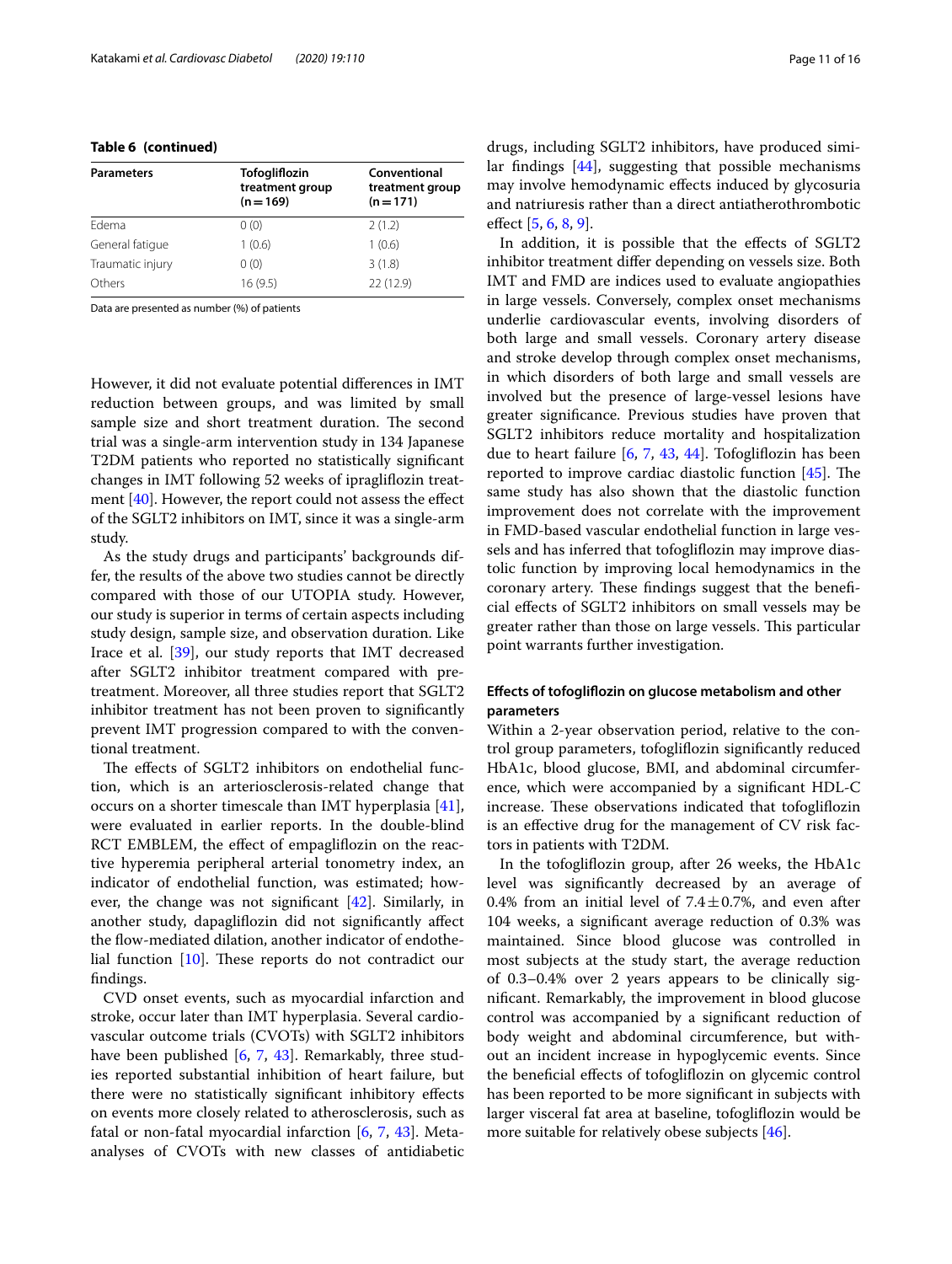## **Table 6 (continued)**

| <b>Parameters</b> | Tofogliflozin<br>treatment group<br>$(n = 169)$ | Conventional<br>treatment group<br>$(n = 171)$ |
|-------------------|-------------------------------------------------|------------------------------------------------|
| Edema             | 0(0)                                            | 2(1.2)                                         |
| General fatique   | 1(0.6)                                          | 1(0.6)                                         |
| Traumatic injury  | 0(0)                                            | 3(1.8)                                         |
| Others            | 16(9.5)                                         | 22 (12.9)                                      |

Data are presented as number (%) of patients

However, it did not evaluate potential diferences in IMT reduction between groups, and was limited by small sample size and short treatment duration. The second trial was a single-arm intervention study in 134 Japanese T2DM patients who reported no statistically signifcant changes in IMT following 52 weeks of ipraglifozin treatment [\[40](#page-14-20)]. However, the report could not assess the efect of the SGLT2 inhibitors on IMT, since it was a single-arm study.

As the study drugs and participants' backgrounds differ, the results of the above two studies cannot be directly compared with those of our UTOPIA study. However, our study is superior in terms of certain aspects including study design, sample size, and observation duration. Like Irace et al. [\[39](#page-14-19)], our study reports that IMT decreased after SGLT2 inhibitor treatment compared with pretreatment. Moreover, all three studies report that SGLT2 inhibitor treatment has not been proven to signifcantly prevent IMT progression compared to with the conventional treatment.

The effects of SGLT2 inhibitors on endothelial function, which is an arteriosclerosis-related change that occurs on a shorter timescale than IMT hyperplasia [\[41](#page-14-21)], were evaluated in earlier reports. In the double-blind RCT EMBLEM, the effect of empagliflozin on the reactive hyperemia peripheral arterial tonometry index, an indicator of endothelial function, was estimated; however, the change was not signifcant [[42\]](#page-14-22). Similarly, in another study, dapaglifozin did not signifcantly afect the flow-mediated dilation, another indicator of endothelial function  $[10]$  $[10]$  $[10]$ . These reports do not contradict our fndings.

CVD onset events, such as myocardial infarction and stroke, occur later than IMT hyperplasia. Several cardiovascular outcome trials (CVOTs) with SGLT2 inhibitors have been published [[6,](#page-13-4) [7](#page-13-5), [43](#page-14-23)]. Remarkably, three studies reported substantial inhibition of heart failure, but there were no statistically signifcant inhibitory efects on events more closely related to atherosclerosis, such as fatal or non-fatal myocardial infarction  $[6, 7, 43]$  $[6, 7, 43]$  $[6, 7, 43]$  $[6, 7, 43]$  $[6, 7, 43]$ . Metaanalyses of CVOTs with new classes of antidiabetic drugs, including SGLT2 inhibitors, have produced similar fndings [\[44\]](#page-15-0), suggesting that possible mechanisms may involve hemodynamic efects induced by glycosuria and natriuresis rather than a direct antiatherothrombotic efect [[5,](#page-13-3) [6](#page-13-4), [8](#page-13-11), [9\]](#page-13-6).

In addition, it is possible that the effects of SGLT2 inhibitor treatment difer depending on vessels size. Both IMT and FMD are indices used to evaluate angiopathies in large vessels. Conversely, complex onset mechanisms underlie cardiovascular events, involving disorders of both large and small vessels. Coronary artery disease and stroke develop through complex onset mechanisms, in which disorders of both large and small vessels are involved but the presence of large-vessel lesions have greater signifcance. Previous studies have proven that SGLT2 inhibitors reduce mortality and hospitalization due to heart failure [\[6,](#page-13-4) [7](#page-13-5), [43,](#page-14-23) [44](#page-15-0)]. Tofoglifozin has been reported to improve cardiac diastolic function  $[45]$  $[45]$  $[45]$ . The same study has also shown that the diastolic function improvement does not correlate with the improvement in FMD-based vascular endothelial function in large vessels and has inferred that tofoglifozin may improve diastolic function by improving local hemodynamics in the coronary artery. These findings suggest that the beneficial efects of SGLT2 inhibitors on small vessels may be greater rather than those on large vessels. This particular point warrants further investigation.

## **Efects of tofoglifozin on glucose metabolism and other parameters**

Within a 2-year observation period, relative to the control group parameters, tofoglifozin signifcantly reduced HbA1c, blood glucose, BMI, and abdominal circumference, which were accompanied by a signifcant HDL-C increase. These observations indicated that tofogliflozin is an efective drug for the management of CV risk factors in patients with T2DM.

In the tofoglifozin group, after 26 weeks, the HbA1c level was signifcantly decreased by an average of 0.4% from an initial level of  $7.4 \pm 0.7$ %, and even after 104 weeks, a signifcant average reduction of 0.3% was maintained. Since blood glucose was controlled in most subjects at the study start, the average reduction of 0.3–0.4% over 2 years appears to be clinically signifcant. Remarkably, the improvement in blood glucose control was accompanied by a signifcant reduction of body weight and abdominal circumference, but without an incident increase in hypoglycemic events. Since the benefcial efects of tofoglifozin on glycemic control has been reported to be more signifcant in subjects with larger visceral fat area at baseline, tofoglifozin would be more suitable for relatively obese subjects [[46\]](#page-15-2).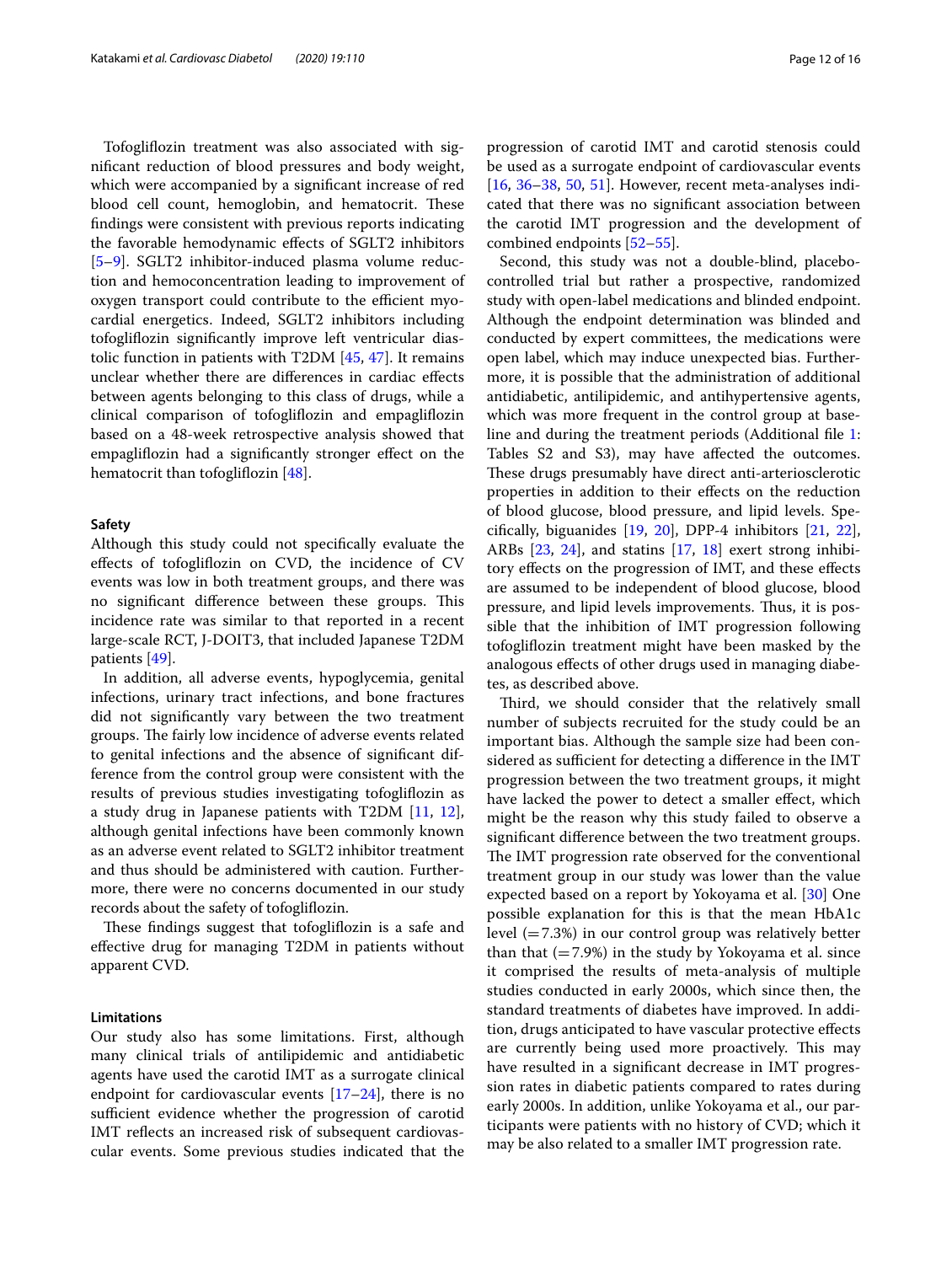Tofoglifozin treatment was also associated with signifcant reduction of blood pressures and body weight, which were accompanied by a signifcant increase of red blood cell count, hemoglobin, and hematocrit. These fndings were consistent with previous reports indicating the favorable hemodynamic efects of SGLT2 inhibitors [[5–](#page-13-3)[9\]](#page-13-6). SGLT2 inhibitor-induced plasma volume reduction and hemoconcentration leading to improvement of oxygen transport could contribute to the efficient myocardial energetics. Indeed, SGLT2 inhibitors including tofoglifozin signifcantly improve left ventricular diastolic function in patients with T2DM [[45,](#page-15-1) [47\]](#page-15-3). It remains unclear whether there are diferences in cardiac efects between agents belonging to this class of drugs, while a clinical comparison of tofoglifozin and empaglifozin based on a 48-week retrospective analysis showed that empaglifozin had a signifcantly stronger efect on the hematocrit than tofogliflozin [[48\]](#page-15-4).

## **Safety**

Although this study could not specifcally evaluate the efects of tofoglifozin on CVD, the incidence of CV events was low in both treatment groups, and there was no significant difference between these groups. This incidence rate was similar to that reported in a recent large-scale RCT, J-DOIT3, that included Japanese T2DM patients [[49\]](#page-15-5).

In addition, all adverse events, hypoglycemia, genital infections, urinary tract infections, and bone fractures did not signifcantly vary between the two treatment groups. The fairly low incidence of adverse events related to genital infections and the absence of signifcant difference from the control group were consistent with the results of previous studies investigating tofoglifozin as a study drug in Japanese patients with T2DM [\[11](#page-13-8), [12](#page-13-9)], although genital infections have been commonly known as an adverse event related to SGLT2 inhibitor treatment and thus should be administered with caution. Furthermore, there were no concerns documented in our study records about the safety of tofoglifozin.

These findings suggest that tofogliflozin is a safe and efective drug for managing T2DM in patients without apparent CVD.

## **Limitations**

Our study also has some limitations. First, although many clinical trials of antilipidemic and antidiabetic agents have used the carotid IMT as a surrogate clinical endpoint for cardiovascular events  $[17–24]$  $[17–24]$  $[17–24]$  $[17–24]$ , there is no sufficient evidence whether the progression of carotid IMT reflects an increased risk of subsequent cardiovascular events. Some previous studies indicated that the progression of carotid IMT and carotid stenosis could be used as a surrogate endpoint of cardiovascular events [[16,](#page-14-2) [36–](#page-14-17)[38,](#page-14-18) [50,](#page-15-6) [51](#page-15-7)]. However, recent meta-analyses indicated that there was no signifcant association between the carotid IMT progression and the development of combined endpoints [\[52](#page-15-8)[–55\]](#page-15-9).

Second, this study was not a double-blind, placebocontrolled trial but rather a prospective, randomized study with open-label medications and blinded endpoint. Although the endpoint determination was blinded and conducted by expert committees, the medications were open label, which may induce unexpected bias. Furthermore, it is possible that the administration of additional antidiabetic, antilipidemic, and antihypertensive agents, which was more frequent in the control group at baseline and during the treatment periods (Additional fle [1](#page-12-0): Tables S2 and S3), may have afected the outcomes. These drugs presumably have direct anti-arteriosclerotic properties in addition to their efects on the reduction of blood glucose, blood pressure, and lipid levels. Specifcally, biguanides [\[19](#page-14-24), [20](#page-14-25)], DPP-4 inhibitors [\[21,](#page-14-9) [22](#page-14-10)], ARBs [[23,](#page-14-26) [24\]](#page-14-4), and statins [\[17](#page-14-3), [18](#page-14-27)] exert strong inhibitory efects on the progression of IMT, and these efects are assumed to be independent of blood glucose, blood pressure, and lipid levels improvements. Thus, it is possible that the inhibition of IMT progression following tofoglifozin treatment might have been masked by the analogous efects of other drugs used in managing diabetes, as described above.

Third, we should consider that the relatively small number of subjects recruited for the study could be an important bias. Although the sample size had been considered as sufficient for detecting a difference in the IMT progression between the two treatment groups, it might have lacked the power to detect a smaller effect, which might be the reason why this study failed to observe a signifcant diference between the two treatment groups. The IMT progression rate observed for the conventional treatment group in our study was lower than the value expected based on a report by Yokoyama et al. [[30\]](#page-14-12) One possible explanation for this is that the mean HbA1c level  $(=7.3%)$  in our control group was relatively better than that  $(=7.9\%)$  in the study by Yokoyama et al. since it comprised the results of meta-analysis of multiple studies conducted in early 2000s, which since then, the standard treatments of diabetes have improved. In addition, drugs anticipated to have vascular protective efects are currently being used more proactively. This may have resulted in a signifcant decrease in IMT progression rates in diabetic patients compared to rates during early 2000s. In addition, unlike Yokoyama et al., our participants were patients with no history of CVD; which it may be also related to a smaller IMT progression rate.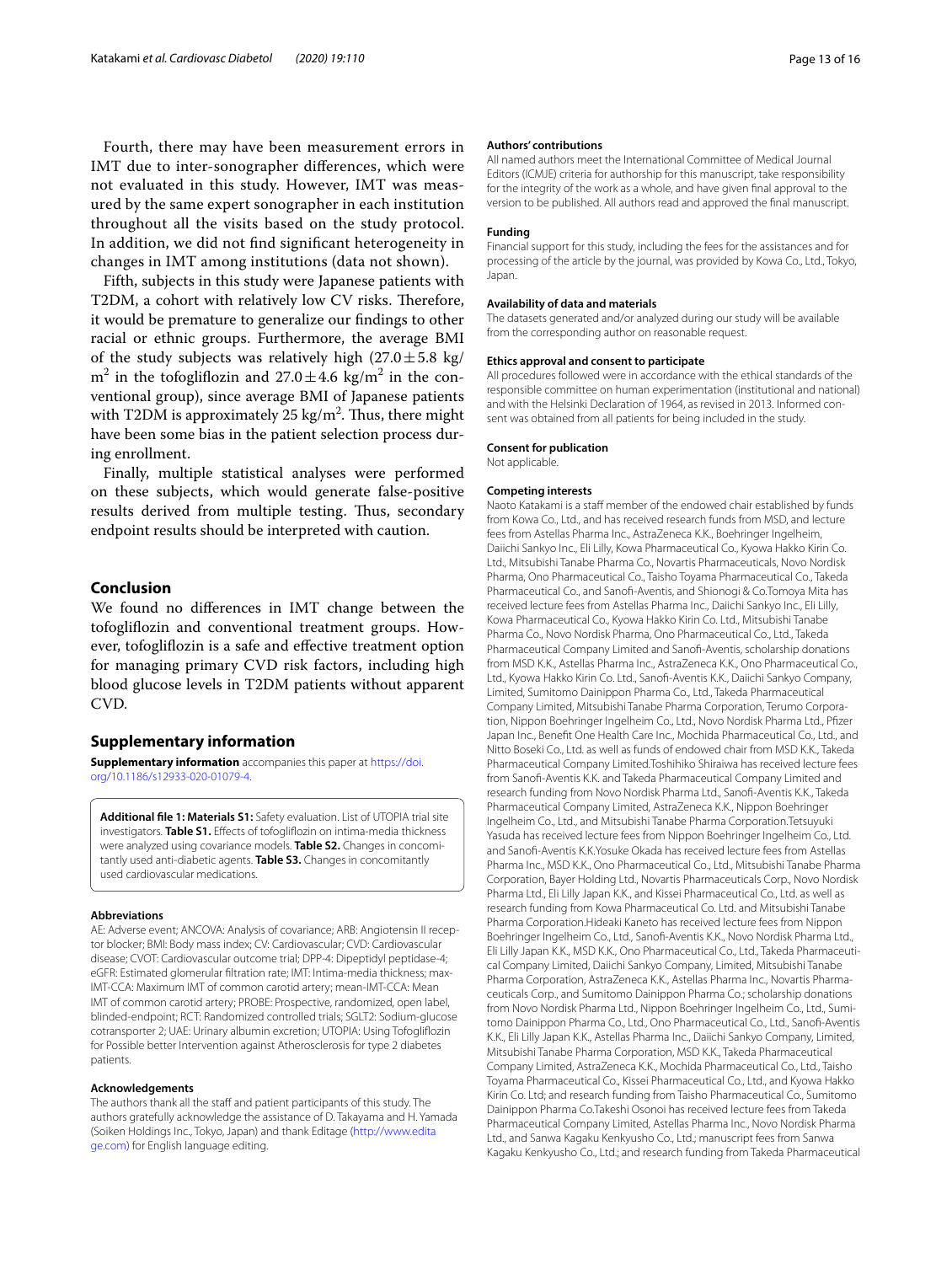Fourth, there may have been measurement errors in IMT due to inter-sonographer diferences, which were not evaluated in this study. However, IMT was measured by the same expert sonographer in each institution throughout all the visits based on the study protocol. In addition, we did not fnd signifcant heterogeneity in changes in IMT among institutions (data not shown).

Fifth, subjects in this study were Japanese patients with T2DM, a cohort with relatively low CV risks. Therefore, it would be premature to generalize our fndings to other racial or ethnic groups. Furthermore, the average BMI of the study subjects was relatively high  $(27.0 \pm 5.8 \text{ kg})$  $\text{m}^2$  in the tofogliflozin and  $27.0 \pm 4.6 \text{ kg/m}^2$  in the conventional group), since average BMI of Japanese patients with T2DM is approximately 25 kg/m $^2$ . Thus, there might have been some bias in the patient selection process during enrollment.

Finally, multiple statistical analyses were performed on these subjects, which would generate false-positive results derived from multiple testing. Thus, secondary endpoint results should be interpreted with caution.

## **Conclusion**

We found no diferences in IMT change between the tofoglifozin and conventional treatment groups. However, tofoglifozin is a safe and efective treatment option for managing primary CVD risk factors, including high blood glucose levels in T2DM patients without apparent CVD.

## **Supplementary information**

**Supplementary information** accompanies this paper at [https://doi.](https://doi.org/10.1186/s12933-020-01079-4) [org/10.1186/s12933-020-01079-4](https://doi.org/10.1186/s12933-020-01079-4).

<span id="page-12-0"></span>**Additional fle 1: Materials S1:** Safety evaluation. List of UTOPIA trial site investigators. **Table S1.** Efects of tofoglifozin on intima-media thickness were analyzed using covariance models. **Table S2.** Changes in concomitantly used anti-diabetic agents. **Table S3.** Changes in concomitantly used cardiovascular medications.

#### **Abbreviations**

AE: Adverse event; ANCOVA: Analysis of covariance; ARB: Angiotensin II receptor blocker; BMI: Body mass index; CV: Cardiovascular; CVD: Cardiovascular disease; CVOT: Cardiovascular outcome trial; DPP-4: Dipeptidyl peptidase-4; eGFR: Estimated glomerular fltration rate; IMT: Intima-media thickness; max-IMT-CCA: Maximum IMT of common carotid artery; mean-IMT-CCA: Mean IMT of common carotid artery; PROBE: Prospective, randomized, open label, blinded-endpoint; RCT: Randomized controlled trials; SGLT2: Sodium-glucose cotransporter 2; UAE: Urinary albumin excretion; UTOPIA: Using Tofoglifozin for Possible better Intervention against Atherosclerosis for type 2 diabetes patients.

#### **Acknowledgements**

The authors thank all the staff and patient participants of this study. The authors gratefully acknowledge the assistance of D. Takayama and H. Yamada (Soiken Holdings Inc., Tokyo, Japan) and thank Editage [\(http://www.edita](http://www.editage.com) [ge.com](http://www.editage.com)) for English language editing.

#### **Authors' contributions**

All named authors meet the International Committee of Medical Journal Editors (ICMJE) criteria for authorship for this manuscript, take responsibility for the integrity of the work as a whole, and have given fnal approval to the version to be published. All authors read and approved the fnal manuscript.

#### **Funding**

Financial support for this study, including the fees for the assistances and for processing of the article by the journal, was provided by Kowa Co., Ltd., Tokyo, Japan.

#### **Availability of data and materials**

The datasets generated and/or analyzed during our study will be available from the corresponding author on reasonable request.

#### **Ethics approval and consent to participate**

All procedures followed were in accordance with the ethical standards of the responsible committee on human experimentation (institutional and national) and with the Helsinki Declaration of 1964, as revised in 2013. Informed consent was obtained from all patients for being included in the study.

#### **Consent for publication**

Not applicable.

#### **Competing interests**

Naoto Katakami is a staff member of the endowed chair established by funds from Kowa Co., Ltd., and has received research funds from MSD, and lecture fees from Astellas Pharma Inc., AstraZeneca K.K., Boehringer Ingelheim, Daiichi Sankyo Inc., Eli Lilly, Kowa Pharmaceutical Co., Kyowa Hakko Kirin Co. Ltd., Mitsubishi Tanabe Pharma Co., Novartis Pharmaceuticals, Novo Nordisk Pharma, Ono Pharmaceutical Co., Taisho Toyama Pharmaceutical Co., Takeda Pharmaceutical Co., and Sanof-Aventis, and Shionogi & Co.Tomoya Mita has received lecture fees from Astellas Pharma Inc., Daiichi Sankyo Inc., Eli Lilly, Kowa Pharmaceutical Co., Kyowa Hakko Kirin Co. Ltd., Mitsubishi Tanabe Pharma Co., Novo Nordisk Pharma, Ono Pharmaceutical Co., Ltd., Takeda Pharmaceutical Company Limited and Sanof-Aventis, scholarship donations from MSD K.K., Astellas Pharma Inc., AstraZeneca K.K., Ono Pharmaceutical Co., Ltd., Kyowa Hakko Kirin Co. Ltd., Sanof-Aventis K.K., Daiichi Sankyo Company, Limited, Sumitomo Dainippon Pharma Co., Ltd., Takeda Pharmaceutical Company Limited, Mitsubishi Tanabe Pharma Corporation, Terumo Corporation, Nippon Boehringer Ingelheim Co., Ltd., Novo Nordisk Pharma Ltd., Pfzer Japan Inc., Beneft One Health Care Inc., Mochida Pharmaceutical Co., Ltd., and Nitto Boseki Co., Ltd. as well as funds of endowed chair from MSD K.K., Takeda Pharmaceutical Company Limited.Toshihiko Shiraiwa has received lecture fees from Sanof-Aventis K.K. and Takeda Pharmaceutical Company Limited and research funding from Novo Nordisk Pharma Ltd., Sanof-Aventis K.K., Takeda Pharmaceutical Company Limited, AstraZeneca K.K., Nippon Boehringer Ingelheim Co., Ltd., and Mitsubishi Tanabe Pharma Corporation.Tetsuyuki Yasuda has received lecture fees from Nippon Boehringer Ingelheim Co., Ltd. and Sanof-Aventis K.K.Yosuke Okada has received lecture fees from Astellas Pharma Inc., MSD K.K., Ono Pharmaceutical Co., Ltd., Mitsubishi Tanabe Pharma Corporation, Bayer Holding Ltd., Novartis Pharmaceuticals Corp., Novo Nordisk Pharma Ltd., Eli Lilly Japan K.K., and Kissei Pharmaceutical Co., Ltd. as well as research funding from Kowa Pharmaceutical Co. Ltd. and Mitsubishi Tanabe Pharma Corporation.Hideaki Kaneto has received lecture fees from Nippon Boehringer Ingelheim Co., Ltd., Sanof-Aventis K.K., Novo Nordisk Pharma Ltd., Eli Lilly Japan K.K., MSD K.K., Ono Pharmaceutical Co., Ltd., Takeda Pharmaceutical Company Limited, Daiichi Sankyo Company, Limited, Mitsubishi Tanabe Pharma Corporation, AstraZeneca K.K., Astellas Pharma Inc., Novartis Pharmaceuticals Corp., and Sumitomo Dainippon Pharma Co.; scholarship donations from Novo Nordisk Pharma Ltd., Nippon Boehringer Ingelheim Co., Ltd., Sumitomo Dainippon Pharma Co., Ltd., Ono Pharmaceutical Co., Ltd., Sanof-Aventis K.K., Eli Lilly Japan K.K., Astellas Pharma Inc., Daiichi Sankyo Company, Limited, Mitsubishi Tanabe Pharma Corporation, MSD K.K., Takeda Pharmaceutical Company Limited, AstraZeneca K.K., Mochida Pharmaceutical Co., Ltd., Taisho Toyama Pharmaceutical Co., Kissei Pharmaceutical Co., Ltd., and Kyowa Hakko Kirin Co. Ltd; and research funding from Taisho Pharmaceutical Co., Sumitomo Dainippon Pharma Co.Takeshi Osonoi has received lecture fees from Takeda Pharmaceutical Company Limited, Astellas Pharma Inc., Novo Nordisk Pharma Ltd., and Sanwa Kagaku Kenkyusho Co., Ltd.; manuscript fees from Sanwa Kagaku Kenkyusho Co., Ltd.; and research funding from Takeda Pharmaceutical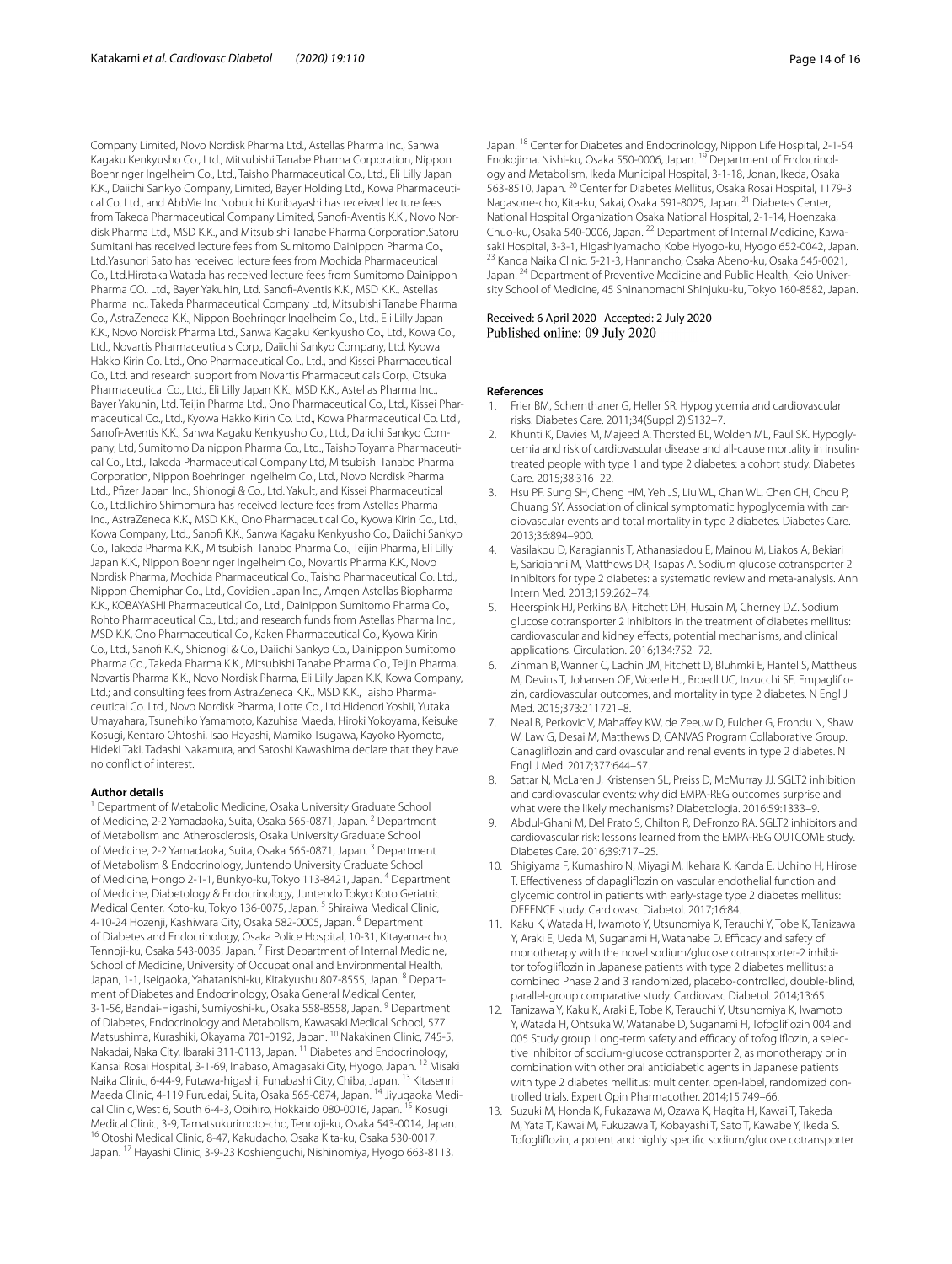Company Limited, Novo Nordisk Pharma Ltd., Astellas Pharma Inc., Sanwa Kagaku Kenkyusho Co., Ltd., Mitsubishi Tanabe Pharma Corporation, Nippon Boehringer Ingelheim Co., Ltd., Taisho Pharmaceutical Co., Ltd., Eli Lilly Japan K.K., Daiichi Sankyo Company, Limited, Bayer Holding Ltd., Kowa Pharmaceutical Co. Ltd., and AbbVie Inc.Nobuichi Kuribayashi has received lecture fees from Takeda Pharmaceutical Company Limited, Sanof-Aventis K.K., Novo Nordisk Pharma Ltd., MSD K.K., and Mitsubishi Tanabe Pharma Corporation.Satoru Sumitani has received lecture fees from Sumitomo Dainippon Pharma Co., Ltd.Yasunori Sato has received lecture fees from Mochida Pharmaceutical Co., Ltd.Hirotaka Watada has received lecture fees from Sumitomo Dainippon Pharma CO., Ltd., Bayer Yakuhin, Ltd. Sanof-Aventis K.K., MSD K.K., Astellas Pharma Inc., Takeda Pharmaceutical Company Ltd, Mitsubishi Tanabe Pharma Co., AstraZeneca K.K., Nippon Boehringer Ingelheim Co., Ltd., Eli Lilly Japan K.K., Novo Nordisk Pharma Ltd., Sanwa Kagaku Kenkyusho Co., Ltd., Kowa Co., Ltd., Novartis Pharmaceuticals Corp., Daiichi Sankyo Company, Ltd, Kyowa Hakko Kirin Co. Ltd., Ono Pharmaceutical Co., Ltd., and Kissei Pharmaceutical Co., Ltd. and research support from Novartis Pharmaceuticals Corp., Otsuka Pharmaceutical Co., Ltd., Eli Lilly Japan K.K., MSD K.K., Astellas Pharma Inc., Bayer Yakuhin, Ltd. Teijin Pharma Ltd., Ono Pharmaceutical Co., Ltd., Kissei Pharmaceutical Co., Ltd., Kyowa Hakko Kirin Co. Ltd., Kowa Pharmaceutical Co. Ltd., Sanof-Aventis K.K., Sanwa Kagaku Kenkyusho Co., Ltd., Daiichi Sankyo Company, Ltd, Sumitomo Dainippon Pharma Co., Ltd., Taisho Toyama Pharmaceutical Co., Ltd., Takeda Pharmaceutical Company Ltd, Mitsubishi Tanabe Pharma Corporation, Nippon Boehringer Ingelheim Co., Ltd., Novo Nordisk Pharma Ltd., Pfizer Japan Inc., Shionogi & Co., Ltd. Yakult, and Kissei Pharmaceutical Co., Ltd.Iichiro Shimomura has received lecture fees from Astellas Pharma Inc., AstraZeneca K.K., MSD K.K., Ono Pharmaceutical Co., Kyowa Kirin Co., Ltd., Kowa Company, Ltd., Sanof K.K., Sanwa Kagaku Kenkyusho Co., Daiichi Sankyo Co., Takeda Pharma K.K., Mitsubishi Tanabe Pharma Co., Teijin Pharma, Eli Lilly Japan K.K., Nippon Boehringer Ingelheim Co., Novartis Pharma K.K., Novo Nordisk Pharma, Mochida Pharmaceutical Co., Taisho Pharmaceutical Co. Ltd., Nippon Chemiphar Co., Ltd., Covidien Japan Inc., Amgen Astellas Biopharma K.K., KOBAYASHI Pharmaceutical Co., Ltd., Dainippon Sumitomo Pharma Co., Rohto Pharmaceutical Co., Ltd.; and research funds from Astellas Pharma Inc., MSD K.K, Ono Pharmaceutical Co., Kaken Pharmaceutical Co., Kyowa Kirin Co., Ltd., Sanof K.K., Shionogi & Co., Daiichi Sankyo Co., Dainippon Sumitomo Pharma Co., Takeda Pharma K.K., Mitsubishi Tanabe Pharma Co., Teijin Pharma, Novartis Pharma K.K., Novo Nordisk Pharma, Eli Lilly Japan K.K, Kowa Company, Ltd.; and consulting fees from AstraZeneca K.K., MSD K.K., Taisho Pharmaceutical Co. Ltd., Novo Nordisk Pharma, Lotte Co., Ltd.Hidenori Yoshii, Yutaka Umayahara, Tsunehiko Yamamoto, Kazuhisa Maeda, Hiroki Yokoyama, Keisuke Kosugi, Kentaro Ohtoshi, Isao Hayashi, Mamiko Tsugawa, Kayoko Ryomoto, Hideki Taki, Tadashi Nakamura, and Satoshi Kawashima declare that they have no confict of interest.

#### **Author details**

<sup>1</sup> Department of Metabolic Medicine, Osaka University Graduate School of Medicine, 2-2 Yamadaoka, Suita, Osaka 565-0871, Japan. 2 Department of Metabolism and Atherosclerosis, Osaka University Graduate School of Medicine, 2-2 Yamadaoka, Suita, Osaka 565-0871, Japan.<sup>3</sup> Department of Metabolism & Endocrinology, Juntendo University Graduate School of Medicine, Hongo 2-1-1, Bunkyo-ku, Tokyo 113-8421, Japan. 4 Department of Medicine, Diabetology & Endocrinology, Juntendo Tokyo Koto Geriatric Medical Center, Koto-ku, Tokyo 136-0075, Japan. 5 Shiraiwa Medical Clinic, 4-10-24 Hozenji, Kashiwara City, Osaka 582-0005, Japan. <sup>6</sup> Department of Diabetes and Endocrinology, Osaka Police Hospital, 10-31, Kitayama-cho, Tennoji-ku, Osaka 543-0035, Japan.<sup>7</sup> First Department of Internal Medicine, School of Medicine, University of Occupational and Environmental Health, Japan, 1-1, Iseigaoka, Yahatanishi-ku, Kitakyushu 807-8555, Japan. 8 Department of Diabetes and Endocrinology, Osaka General Medical Center, 3-1-56, Bandai-Higashi, Sumiyoshi-ku, Osaka 558-8558, Japan. <sup>9</sup> Department of Diabetes, Endocrinology and Metabolism, Kawasaki Medical School, 577 Matsushima, Kurashiki, Okayama 701-0192, Japan. 10 Nakakinen Clinic, 745-5, Nakadai, Naka City, Ibaraki 311-0113, Japan. <sup>11</sup> Diabetes and Endocrinology, Kansai Rosai Hospital, 3-1-69, Inabaso, Amagasaki City, Hyogo, Japan. 12 Misaki Naika Clinic, 6-44-9, Futawa-higashi, Funabashi City, Chiba, Japan. <sup>13</sup> Kitasenri Maeda Clinic, 4-119 Furuedai, Suita, Osaka 565-0874, Japan. <sup>14</sup> Jiyugaoka Medical Clinic, West 6, South 6-4-3, Obihiro, Hokkaido 080-0016, Japan. <sup>15</sup> Kosugi Medical Clinic, 3-9, Tamatsukurimoto-cho, Tennoji-ku, Osaka 543-0014, Japan.<br><sup>16</sup> Otoshi Medical Clinic, 8-47, Kakudacho, Osaka Kita-ku, Osaka 530-0017, Japan. 17 Hayashi Clinic, 3-9-23 Koshienguchi, Nishinomiya, Hyogo 663-8113,

Japan. 18 Center for Diabetes and Endocrinology, Nippon Life Hospital, 2-1-54 Enokojima, Nishi-ku, Osaka 550-0006, Japan. 19 Department of Endocrinology and Metabolism, Ikeda Municipal Hospital, 3-1-18, Jonan, Ikeda, Osaka 563-8510, Japan. <sup>20</sup> Center for Diabetes Mellitus, Osaka Rosai Hospital, 1179-3 Nagasone-cho, Kita-ku, Sakai, Osaka 591-8025, Japan. 21 Diabetes Center, National Hospital Organization Osaka National Hospital, 2-1-14, Hoenzaka, Chuo-ku, Osaka 540-0006, Japan. 22 Department of Internal Medicine, Kawasaki Hospital, 3-3-1, Higashiyamacho, Kobe Hyogo-ku, Hyogo 652-0042, Japan.<br><sup>23</sup> Kanda Naika Clinic, 5-21-3, Hannancho, Osaka Abeno-ku, Osaka 545-0021, Japan. <sup>24</sup> Department of Preventive Medicine and Public Health, Keio University School of Medicine, 45 Shinanomachi Shinjuku-ku, Tokyo 160-8582, Japan.

# Received: 6 April 2020 Accepted: 2 July 2020<br>Published online: 09 July 2020

#### **References**

- <span id="page-13-0"></span>1. Frier BM, Schernthaner G, Heller SR. Hypoglycemia and cardiovascular risks. Diabetes Care. 2011;34(Suppl 2):S132–7.
- 2. Khunti K, Davies M, Majeed A, Thorsted BL, Wolden ML, Paul SK. Hypoglycemia and risk of cardiovascular disease and all-cause mortality in insulintreated people with type 1 and type 2 diabetes: a cohort study. Diabetes Care. 2015;38:316–22.
- <span id="page-13-1"></span>3. Hsu PF, Sung SH, Cheng HM, Yeh JS, Liu WL, Chan WL, Chen CH, Chou P, Chuang SY. Association of clinical symptomatic hypoglycemia with cardiovascular events and total mortality in type 2 diabetes. Diabetes Care. 2013;36:894–900.
- <span id="page-13-2"></span>4. Vasilakou D, Karagiannis T, Athanasiadou E, Mainou M, Liakos A, Bekiari E, Sarigianni M, Matthews DR, Tsapas A. Sodium glucose cotransporter 2 inhibitors for type 2 diabetes: a systematic review and meta-analysis. Ann Intern Med. 2013;159:262–74.
- <span id="page-13-3"></span>5. Heerspink HJ, Perkins BA, Fitchett DH, Husain M, Cherney DZ. Sodium glucose cotransporter 2 inhibitors in the treatment of diabetes mellitus: cardiovascular and kidney efects, potential mechanisms, and clinical applications. Circulation. 2016;134:752–72.
- <span id="page-13-4"></span>Zinman B, Wanner C, Lachin JM, Fitchett D, Bluhmki E, Hantel S, Mattheus M, Devins T, Johansen OE, Woerle HJ, Broedl UC, Inzucchi SE. Empaglifozin, cardiovascular outcomes, and mortality in type 2 diabetes. N Engl J Med. 2015;373:211721–8.
- <span id="page-13-5"></span>7. Neal B, Perkovic V, Mahaffey KW, de Zeeuw D, Fulcher G, Erondu N, Shaw W, Law G, Desai M, Matthews D, CANVAS Program Collaborative Group. Canaglifozin and cardiovascular and renal events in type 2 diabetes. N Engl J Med. 2017;377:644–57.
- <span id="page-13-11"></span>8. Sattar N, McLaren J, Kristensen SL, Preiss D, McMurray JJ. SGLT2 inhibition and cardiovascular events: why did EMPA-REG outcomes surprise and what were the likely mechanisms? Diabetologia. 2016;59:1333–9.
- <span id="page-13-6"></span>9. Abdul-Ghani M, Del Prato S, Chilton R, DeFronzo RA. SGLT2 inhibitors and cardiovascular risk: lessons learned from the EMPA-REG OUTCOME study. Diabetes Care. 2016;39:717–25.
- <span id="page-13-7"></span>10. Shigiyama F, Kumashiro N, Miyagi M, Ikehara K, Kanda E, Uchino H, Hirose T. Efectiveness of dapaglifozin on vascular endothelial function and glycemic control in patients with early-stage type 2 diabetes mellitus: DEFENCE study. Cardiovasc Diabetol. 2017;16:84.
- <span id="page-13-8"></span>11. Kaku K, Watada H, Iwamoto Y, Utsunomiya K, Terauchi Y, Tobe K, Tanizawa Y, Araki E, Ueda M, Suganami H, Watanabe D. Efficacy and safety of monotherapy with the novel sodium/glucose cotransporter-2 inhibitor tofoglifozin in Japanese patients with type 2 diabetes mellitus: a combined Phase 2 and 3 randomized, placebo-controlled, double-blind, parallel-group comparative study. Cardiovasc Diabetol. 2014;13:65.
- <span id="page-13-9"></span>12. Tanizawa Y, Kaku K, Araki E, Tobe K, Terauchi Y, Utsunomiya K, Iwamoto Y, Watada H, Ohtsuka W, Watanabe D, Suganami H, Tofoglifozin 004 and 005 Study group. Long-term safety and efficacy of tofogliflozin, a selective inhibitor of sodium-glucose cotransporter 2, as monotherapy or in combination with other oral antidiabetic agents in Japanese patients with type 2 diabetes mellitus: multicenter, open-label, randomized controlled trials. Expert Opin Pharmacother. 2014;15:749–66.
- <span id="page-13-10"></span>13. Suzuki M, Honda K, Fukazawa M, Ozawa K, Hagita H, Kawai T, Takeda M, Yata T, Kawai M, Fukuzawa T, Kobayashi T, Sato T, Kawabe Y, Ikeda S. Tofoglifozin, a potent and highly specifc sodium/glucose cotransporter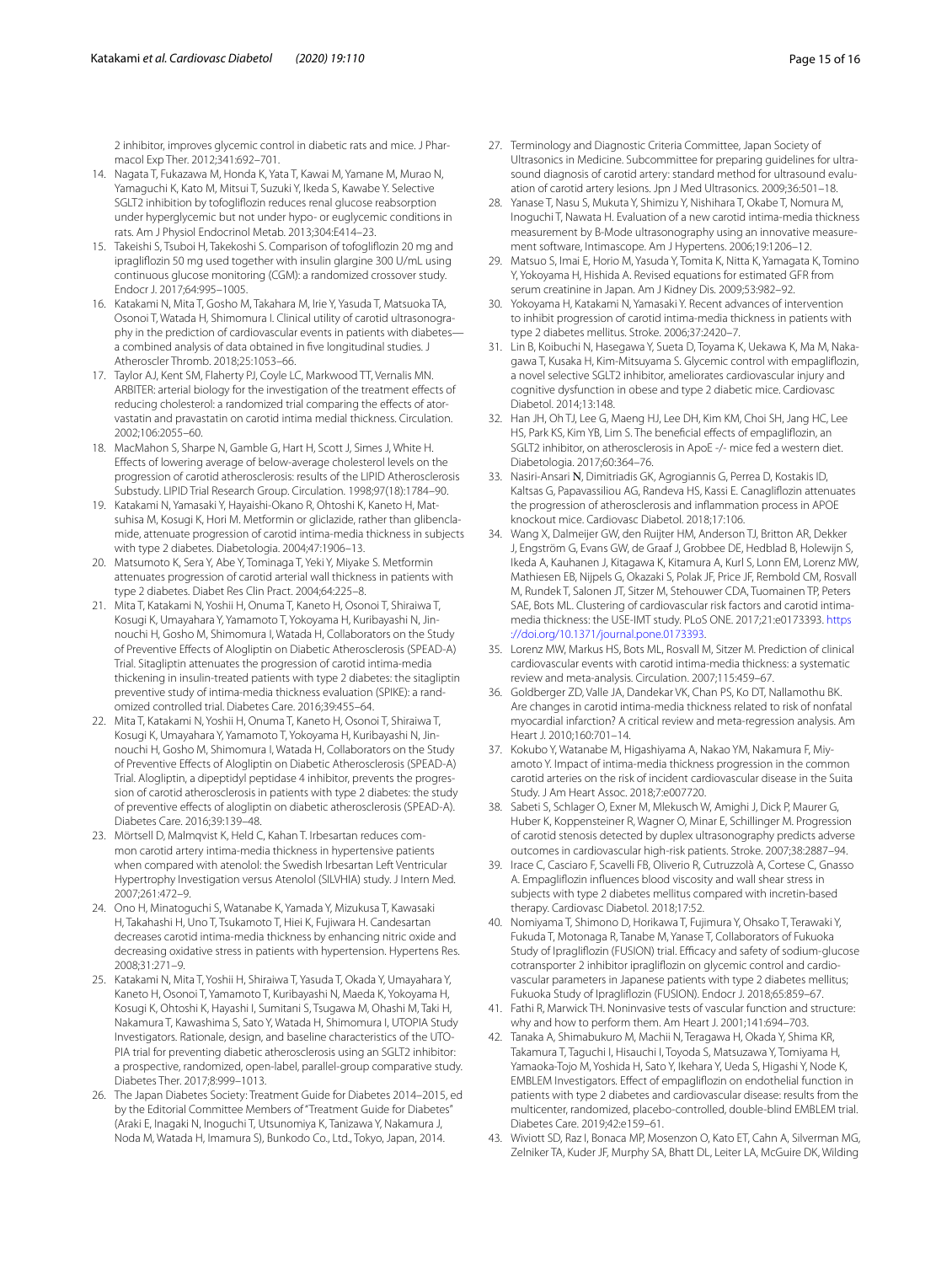2 inhibitor, improves glycemic control in diabetic rats and mice. J Pharmacol Exp Ther. 2012;341:692–701.

- <span id="page-14-0"></span>14. Nagata T, Fukazawa M, Honda K, Yata T, Kawai M, Yamane M, Murao N, Yamaguchi K, Kato M, Mitsui T, Suzuki Y, Ikeda S, Kawabe Y. Selective SGLT2 inhibition by tofoglifozin reduces renal glucose reabsorption under hyperglycemic but not under hypo- or euglycemic conditions in rats. Am J Physiol Endocrinol Metab. 2013;304:E414–23.
- <span id="page-14-1"></span>15. Takeishi S, Tsuboi H, Takekoshi S. Comparison of tofoglifozin 20 mg and ipraglifozin 50 mg used together with insulin glargine 300 U/mL using continuous glucose monitoring (CGM): a randomized crossover study. Endocr J. 2017;64:995–1005.
- <span id="page-14-2"></span>16. Katakami N, Mita T, Gosho M, Takahara M, Irie Y, Yasuda T, Matsuoka TA, Osonoi T, Watada H, Shimomura I. Clinical utility of carotid ultrasonography in the prediction of cardiovascular events in patients with diabetes a combined analysis of data obtained in fve longitudinal studies. J Atheroscler Thromb. 2018;25:1053–66.
- <span id="page-14-3"></span>17. Taylor AJ, Kent SM, Flaherty PJ, Coyle LC, Markwood TT, Vernalis MN. ARBITER: arterial biology for the investigation of the treatment effects of reducing cholesterol: a randomized trial comparing the efects of atorvastatin and pravastatin on carotid intima medial thickness. Circulation. 2002;106:2055–60.
- <span id="page-14-27"></span>18. MacMahon S, Sharpe N, Gamble G, Hart H, Scott J, Simes J, White H. Efects of lowering average of below-average cholesterol levels on the progression of carotid atherosclerosis: results of the LIPID Atherosclerosis Substudy. LIPID Trial Research Group. Circulation. 1998;97(18):1784–90.
- <span id="page-14-24"></span>19. Katakami N, Yamasaki Y, Hayaishi-Okano R, Ohtoshi K, Kaneto H, Matsuhisa M, Kosugi K, Hori M. Metformin or gliclazide, rather than glibenclamide, attenuate progression of carotid intima-media thickness in subjects with type 2 diabetes. Diabetologia. 2004;47:1906–13.
- <span id="page-14-25"></span>20. Matsumoto K, Sera Y, Abe Y, Tominaga T, Yeki Y, Miyake S. Metformin attenuates progression of carotid arterial wall thickness in patients with type 2 diabetes. Diabet Res Clin Pract. 2004;64:225–8.
- <span id="page-14-9"></span>21. Mita T, Katakami N, Yoshii H, Onuma T, Kaneto H, Osonoi T, Shiraiwa T, Kosugi K, Umayahara Y, Yamamoto T, Yokoyama H, Kuribayashi N, Jinnouchi H, Gosho M, Shimomura I, Watada H, Collaborators on the Study of Preventive Efects of Alogliptin on Diabetic Atherosclerosis (SPEAD-A) Trial. Sitagliptin attenuates the progression of carotid intima-media thickening in insulin-treated patients with type 2 diabetes: the sitagliptin preventive study of intima-media thickness evaluation (SPIKE): a randomized controlled trial. Diabetes Care. 2016;39:455–64.
- <span id="page-14-10"></span>22. Mita T, Katakami N, Yoshii H, Onuma T, Kaneto H, Osonoi T, Shiraiwa T, Kosugi K, Umayahara Y, Yamamoto T, Yokoyama H, Kuribayashi N, Jinnouchi H, Gosho M, Shimomura I, Watada H, Collaborators on the Study of Preventive Efects of Alogliptin on Diabetic Atherosclerosis (SPEAD-A) Trial. Alogliptin, a dipeptidyl peptidase 4 inhibitor, prevents the progression of carotid atherosclerosis in patients with type 2 diabetes: the study of preventive efects of alogliptin on diabetic atherosclerosis (SPEAD-A). Diabetes Care. 2016;39:139–48.
- <span id="page-14-26"></span>23. Mörtsell D, Malmqvist K, Held C, Kahan T. Irbesartan reduces common carotid artery intima-media thickness in hypertensive patients when compared with atenolol: the Swedish Irbesartan Left Ventricular Hypertrophy Investigation versus Atenolol (SILVHIA) study. J Intern Med. 2007;261:472–9.
- <span id="page-14-4"></span>24. Ono H, Minatoguchi S, Watanabe K, Yamada Y, Mizukusa T, Kawasaki H, Takahashi H, Uno T, Tsukamoto T, Hiei K, Fujiwara H. Candesartan decreases carotid intima-media thickness by enhancing nitric oxide and decreasing oxidative stress in patients with hypertension. Hypertens Res. 2008;31:271–9.
- <span id="page-14-5"></span>25. Katakami N, Mita T, Yoshii H, Shiraiwa T, Yasuda T, Okada Y, Umayahara Y, Kaneto H, Osonoi T, Yamamoto T, Kuribayashi N, Maeda K, Yokoyama H, Kosugi K, Ohtoshi K, Hayashi I, Sumitani S, Tsugawa M, Ohashi M, Taki H, Nakamura T, Kawashima S, Sato Y, Watada H, Shimomura I, UTOPIA Study Investigators. Rationale, design, and baseline characteristics of the UTO-PIA trial for preventing diabetic atherosclerosis using an SGLT2 inhibitor: a prospective, randomized, open-label, parallel-group comparative study. Diabetes Ther. 2017;8:999–1013.
- <span id="page-14-6"></span>26. The Japan Diabetes Society: Treatment Guide for Diabetes 2014–2015, ed by the Editorial Committee Members of "Treatment Guide for Diabetes" (Araki E, Inagaki N, Inoguchi T, Utsunomiya K, Tanizawa Y, Nakamura J, Noda M, Watada H, Imamura S), Bunkodo Co., Ltd., Tokyo, Japan, 2014.
- <span id="page-14-7"></span>27. Terminology and Diagnostic Criteria Committee, Japan Society of Ultrasonics in Medicine. Subcommittee for preparing guidelines for ultrasound diagnosis of carotid artery: standard method for ultrasound evaluation of carotid artery lesions. Jpn J Med Ultrasonics. 2009;36:501-18.
- <span id="page-14-8"></span>28. Yanase T, Nasu S, Mukuta Y, Shimizu Y, Nishihara T, Okabe T, Nomura M, Inoguchi T, Nawata H. Evaluation of a new carotid intima-media thickness measurement by B-Mode ultrasonography using an innovative measurement software, Intimascope. Am J Hypertens. 2006;19:1206–12.
- <span id="page-14-11"></span>29. Matsuo S, Imai E, Horio M, Yasuda Y, Tomita K, Nitta K, Yamagata K, Tomino Y, Yokoyama H, Hishida A. Revised equations for estimated GFR from serum creatinine in Japan. Am J Kidney Dis. 2009;53:982–92.
- <span id="page-14-12"></span>30. Yokoyama H, Katakami N, Yamasaki Y. Recent advances of intervention to inhibit progression of carotid intima-media thickness in patients with type 2 diabetes mellitus. Stroke. 2006;37:2420–7.
- <span id="page-14-13"></span>31. Lin B, Koibuchi N, Hasegawa Y, Sueta D, Toyama K, Uekawa K, Ma M, Nakagawa T, Kusaka H, Kim-Mitsuyama S. Glycemic control with empaglifozin, a novel selective SGLT2 inhibitor, ameliorates cardiovascular injury and cognitive dysfunction in obese and type 2 diabetic mice. Cardiovasc Diabetol. 2014;13:148.
- 32. Han JH, Oh TJ, Lee G, Maeng HJ, Lee DH, Kim KM, Choi SH, Jang HC, Lee HS, Park KS, Kim YB, Lim S. The beneficial effects of empagliflozin, an SGLT2 inhibitor, on atherosclerosis in ApoE -/- mice fed a western diet. Diabetologia. 2017;60:364–76.
- <span id="page-14-14"></span>33. Nasiri-Ansari Ν, Dimitriadis GK, Agrogiannis G, Perrea D, Kostakis ID, Kaltsas G, Papavassiliou AG, Randeva HS, Kassi E. Canaglifozin attenuates the progression of atherosclerosis and infammation process in APOE knockout mice. Cardiovasc Diabetol. 2018;17:106.
- <span id="page-14-15"></span>34. Wang X, Dalmeijer GW, den Ruijter HM, Anderson TJ, Britton AR, Dekker J, Engström G, Evans GW, de Graaf J, Grobbee DE, Hedblad B, Holewijn S, Ikeda A, Kauhanen J, Kitagawa K, Kitamura A, Kurl S, Lonn EM, Lorenz MW, Mathiesen EB, Nijpels G, Okazaki S, Polak JF, Price JF, Rembold CM, Rosvall M, Rundek T, Salonen JT, Sitzer M, Stehouwer CDA, Tuomainen TP, Peters SAE, Bots ML. Clustering of cardiovascular risk factors and carotid intimamedia thickness: the USE-IMT study. PLoS ONE. 2017;21:e0173393. [https](https://doi.org/10.1371/journal.pone.0173393) [://doi.org/10.1371/journal.pone.0173393.](https://doi.org/10.1371/journal.pone.0173393)
- <span id="page-14-16"></span>35. Lorenz MW, Markus HS, Bots ML, Rosvall M, Sitzer M. Prediction of clinical cardiovascular events with carotid intima-media thickness: a systematic review and meta-analysis. Circulation. 2007;115:459–67.
- <span id="page-14-17"></span>36. Goldberger ZD, Valle JA, Dandekar VK, Chan PS, Ko DT, Nallamothu BK. Are changes in carotid intima-media thickness related to risk of nonfatal myocardial infarction? A critical review and meta-regression analysis. Am Heart J. 2010;160:701–14.
- 37. Kokubo Y, Watanabe M, Higashiyama A, Nakao YM, Nakamura F, Miyamoto Y. Impact of intima-media thickness progression in the common carotid arteries on the risk of incident cardiovascular disease in the Suita Study. J Am Heart Assoc. 2018;7:e007720.
- <span id="page-14-18"></span>38. Sabeti S, Schlager O, Exner M, Mlekusch W, Amighi J, Dick P, Maurer G, Huber K, Koppensteiner R, Wagner O, Minar E, Schillinger M. Progression of carotid stenosis detected by duplex ultrasonography predicts adverse outcomes in cardiovascular high-risk patients. Stroke. 2007;38:2887–94.
- <span id="page-14-19"></span>39. Irace C, Casciaro F, Scavelli FB, Oliverio R, Cutruzzolà A, Cortese C, Gnasso A. Empaglifozin infuences blood viscosity and wall shear stress in subjects with type 2 diabetes mellitus compared with incretin-based therapy. Cardiovasc Diabetol. 2018;17:52.
- <span id="page-14-20"></span>40. Nomiyama T, Shimono D, Horikawa T, Fujimura Y, Ohsako T, Terawaki Y, Fukuda T, Motonaga R, Tanabe M, Yanase T, Collaborators of Fukuoka Study of Ipragliflozin (FUSION) trial. Efficacy and safety of sodium-glucose cotransporter 2 inhibitor ipraglifozin on glycemic control and cardiovascular parameters in Japanese patients with type 2 diabetes mellitus; Fukuoka Study of Ipraglifozin (FUSION). Endocr J. 2018;65:859–67.
- <span id="page-14-21"></span>41. Fathi R, Marwick TH. Noninvasive tests of vascular function and structure: why and how to perform them. Am Heart J. 2001;141:694–703.
- <span id="page-14-22"></span>42. Tanaka A, Shimabukuro M, Machii N, Teragawa H, Okada Y, Shima KR, Takamura T, Taguchi I, Hisauchi I, Toyoda S, Matsuzawa Y, Tomiyama H, Yamaoka-Tojo M, Yoshida H, Sato Y, Ikehara Y, Ueda S, Higashi Y, Node K, EMBLEM Investigators. Efect of empaglifozin on endothelial function in patients with type 2 diabetes and cardiovascular disease: results from the multicenter, randomized, placebo-controlled, double-blind EMBLEM trial. Diabetes Care. 2019;42:e159–61.
- <span id="page-14-23"></span>43. Wiviott SD, Raz I, Bonaca MP, Mosenzon O, Kato ET, Cahn A, Silverman MG, Zelniker TA, Kuder JF, Murphy SA, Bhatt DL, Leiter LA, McGuire DK, Wilding